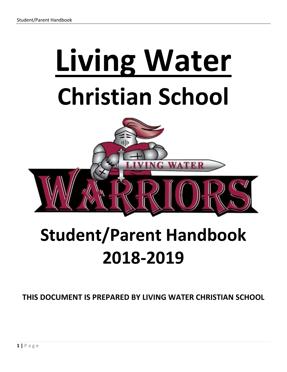# **Living Water Christian School**



# **Student/Parent Handbook 2018-2019**

**THIS DOCUMENT IS PREPARED BY LIVING WATER CHRISTIAN SCHOOL**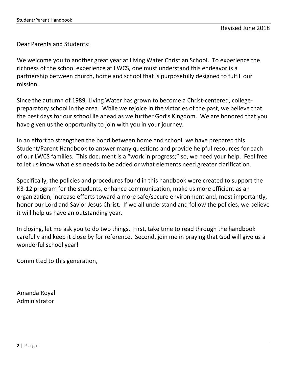Dear Parents and Students:

We welcome you to another great year at Living Water Christian School. To experience the richness of the school experience at LWCS, one must understand this endeavor is a partnership between church, home and school that is purposefully designed to fulfill our mission.

Since the autumn of 1989, Living Water has grown to become a Christ-centered, collegepreparatory school in the area. While we rejoice in the victories of the past, we believe that the best days for our school lie ahead as we further God's Kingdom. We are honored that you have given us the opportunity to join with you in your journey.

In an effort to strengthen the bond between home and school, we have prepared this Student/Parent Handbook to answer many questions and provide helpful resources for each of our LWCS families. This document is a "work in progress;" so, we need your help. Feel free to let us know what else needs to be added or what elements need greater clarification.

Specifically, the policies and procedures found in this handbook were created to support the K3-12 program for the students, enhance communication, make us more efficient as an organization, increase efforts toward a more safe/secure environment and, most importantly, honor our Lord and Savior Jesus Christ. If we all understand and follow the policies, we believe it will help us have an outstanding year.

In closing, let me ask you to do two things. First, take time to read through the handbook carefully and keep it close by for reference. Second, join me in praying that God will give us a wonderful school year!

Committed to this generation,

Amanda Royal Administrator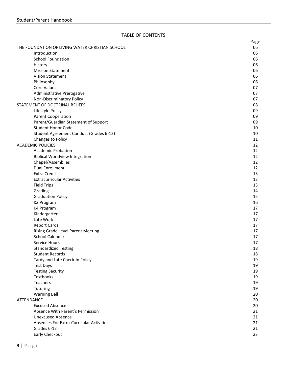### TABLE OF CONTENTS

|                                                 | Page |
|-------------------------------------------------|------|
| THE FOUNDATION OF LIVING WATER CHRISTIAN SCHOOL | 06   |
| Introduction                                    | 06   |
| <b>School Foundation</b>                        | 06   |
| History                                         | 06   |
| <b>Mission Statement</b>                        | 06   |
| <b>Vision Statement</b>                         | 06   |
| Philosophy                                      | 06   |
| <b>Core Values</b>                              | 07   |
| Administrative Prerogative                      | 07   |
| Non-Discriminatory Policy                       | 07   |
| STATEMENT OF DOCTRINAL BELIEFS                  | 08   |
| Lifestyle Policy                                | 09   |
| <b>Parent Cooperation</b>                       | 09   |
| Parent/Guardian Statement of Support            | 09   |
| <b>Student Honor Code</b>                       | 10   |
| Student Agreement Conduct (Grades 6-12)         | 10   |
| Changes to Policy                               | 11   |
| <b>ACADEMIC POLICIES</b>                        | 12   |
| <b>Academic Probation</b>                       | 12   |
| <b>Biblical Worldview Integration</b>           | 12   |
| Chapel/Assemblies                               | 12   |
| <b>Dual Enrollment</b>                          | 12   |
| <b>Extra Credit</b>                             | 13   |
| <b>Extracurricular Activities</b>               | 13   |
| <b>Field Trips</b>                              | 13   |
| Grading                                         | 14   |
| <b>Graduation Policy</b>                        | 15   |
| K3 Program                                      | 16   |
| K4 Program                                      | 17   |
| Kindergarten                                    | 17   |
| Late Work                                       | 17   |
| <b>Report Cards</b>                             | 17   |
| Rising Grade Level Parent Meeting               | 17   |
| School Calendar                                 | 17   |
| Service Hours                                   | 17   |
| <b>Standardized Testing</b>                     | 18   |
| <b>Student Records</b>                          | 18   |
| Tardy and Late Check-in Policy                  | 19   |
| <b>Test Days</b>                                | 19   |
| <b>Testing Security</b>                         | 19   |
| Textbooks                                       | 19   |
| <b>Teachers</b>                                 | 19   |
| Tutoring                                        | 19   |
| <b>Warning Bell</b>                             | 20   |
| ATTENDANCE                                      | 20   |
| <b>Excused Absence</b>                          | 20   |
| Absence With Parent's Permission                | 21   |
| <b>Unexcused Absence</b>                        | 21   |
| Absences For Extra-Curricular Activities        | 21   |
| Grades 6-12                                     | 21   |
| Early Checkout                                  | 23   |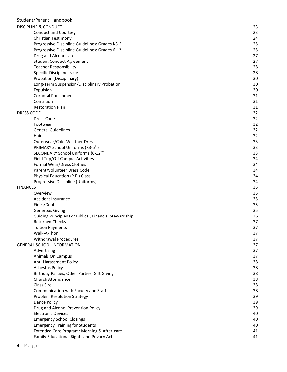| <b>DISCIPLINE &amp; CONDUCT</b>                        | 23 |
|--------------------------------------------------------|----|
| <b>Conduct and Courtesy</b>                            | 23 |
| Christian Testimony                                    | 24 |
| Progressive Discipline Guidelines: Grades K3-5         | 25 |
| Progressive Discipline Guidelines: Grades 6-12         | 25 |
| Drug and Alcohol Use                                   | 27 |
| <b>Student Conduct Agreement</b>                       | 27 |
| <b>Teacher Responsibility</b>                          | 28 |
| Specific Discipline Issue                              | 28 |
| Probation (Disciplinary)                               | 30 |
| Long-Term Suspension/Disciplinary Probation            | 30 |
| Expulsion                                              | 30 |
| Corporal Punishment                                    | 31 |
| Contrition                                             | 31 |
| <b>Restoration Plan</b>                                | 31 |
| <b>DRESS CODE</b>                                      | 32 |
| Dress Code                                             | 32 |
| Footwear                                               | 32 |
| <b>General Guidelines</b>                              | 32 |
| Hair                                                   | 32 |
| Outerwear/Cold-Weather Dress                           | 33 |
| PRIMARY School Uniforms (K3-5 <sup>th</sup> )          | 33 |
| SECONDARY School Uniforms (6-12 <sup>th</sup> )        | 33 |
| Field Trip/Off Campus Activities                       | 34 |
| Formal Wear/Dress Clothes                              | 34 |
| Parent/Volunteer Dress Code                            | 34 |
| Physical Education (P.E.) Class                        | 34 |
| Progressive Discipline (Uniforms)                      | 34 |
| <b>FINANCES</b>                                        | 35 |
| Overview                                               | 35 |
| <b>Accident Insurance</b>                              | 35 |
| Fines/Debts                                            | 35 |
| <b>Generous Giving</b>                                 | 35 |
| Guiding Principles For Biblical, Financial Stewardship | 36 |
| <b>Returned Checks</b>                                 | 37 |
| <b>Tuition Payments</b>                                | 37 |
| Walk-A-Thon                                            | 37 |
| <b>Withdrawal Procedures</b>                           | 37 |
| <b>GENERAL SCHOOL INFORMATION</b>                      | 37 |
| Advertising                                            | 37 |
| Animals On Campus                                      | 37 |
| Anti-Harassment Policy                                 | 38 |
| <b>Asbestos Policy</b>                                 | 38 |
| Birthday Parties, Other Parties, Gift Giving           | 38 |
| Church Attendance                                      | 38 |
| Class Size                                             | 38 |
| Communication with Faculty and Staff                   | 38 |
| <b>Problem Resolution Strategy</b>                     | 39 |
| Dance Policy                                           | 39 |
| Drug and Alcohol Prevention Policy                     | 39 |
| <b>Electronic Devices</b>                              | 40 |
| <b>Emergency School Closings</b>                       | 40 |
| <b>Emergency Training for Students</b>                 | 40 |
| Extended Care Program: Morning & After-care            | 41 |
| Family Educational Rights and Privacy Act              | 41 |
|                                                        |    |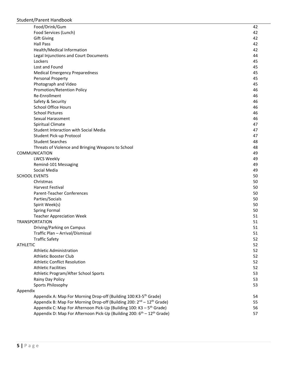| Food/Drink/Gum                                                                                 | 42 |
|------------------------------------------------------------------------------------------------|----|
| Food Services (Lunch)                                                                          | 42 |
| <b>Gift Giving</b>                                                                             | 42 |
| <b>Hall Pass</b>                                                                               | 42 |
| Health/Medical Information                                                                     | 42 |
| Legal Injunctions and Court Documents                                                          | 44 |
| Lockers                                                                                        | 45 |
| Lost and Found                                                                                 | 45 |
| <b>Medical Emergency Preparedness</b>                                                          | 45 |
| Personal Property                                                                              | 45 |
| Photograph and Video                                                                           | 45 |
| Promotion/Retention Policy                                                                     | 46 |
| Re-Enrollment                                                                                  | 46 |
| Safety & Security                                                                              | 46 |
| <b>School Office Hours</b>                                                                     | 46 |
| <b>School Pictures</b>                                                                         | 46 |
| Sexual Harassment                                                                              | 46 |
| Spiritual Climate                                                                              | 47 |
| Student Interaction with Social Media                                                          | 47 |
| Student Pick-up Protocol                                                                       | 47 |
| <b>Student Searches</b>                                                                        | 48 |
| Threats of Violence and Bringing Weapons to School                                             | 48 |
| COMMUNICATION                                                                                  | 49 |
| <b>LWCS Weekly</b>                                                                             | 49 |
| Remind-101 Messaging                                                                           | 49 |
| Social Media                                                                                   | 49 |
| <b>SCHOOL EVENTS</b>                                                                           | 50 |
| Christmas                                                                                      | 50 |
| Harvest Festival                                                                               | 50 |
| Parent-Teacher Conferences                                                                     | 50 |
| Parties/Socials                                                                                | 50 |
| Spirit Week(s)                                                                                 | 50 |
| <b>Spring Formal</b>                                                                           | 50 |
| <b>Teacher Appreciation Week</b>                                                               | 51 |
| <b>TRANSPORTATION</b>                                                                          | 51 |
| Driving/Parking on Campus                                                                      | 51 |
| Traffic Plan - Arrival/Dismissal                                                               | 51 |
| <b>Traffic Safety</b>                                                                          | 52 |
| <b>ATHLETIC</b>                                                                                | 52 |
| <b>Athletic Administration</b>                                                                 | 52 |
| Athletic Booster Club                                                                          | 52 |
| <b>Athletic Conflict Resolution</b>                                                            | 52 |
| <b>Athletic Facilities</b>                                                                     | 52 |
| Athletic Program/After School Sports                                                           | 53 |
| Rainy Day Policy                                                                               | 53 |
| Sports Philosophy                                                                              | 53 |
| Appendix                                                                                       |    |
| Appendix A: Map For Morning Drop-off (Building 100:K3-5 <sup>th</sup> Grade)                   | 54 |
| Appendix B: Map For Morning Drop-off (Building 200: 2 <sup>nd</sup> - 12 <sup>th</sup> Grade)  | 55 |
| Appendix C: Map For Afternoon Pick-Up (Building 100: K3 - 5 <sup>th</sup> Grade)               | 56 |
| Appendix D: Map For Afternoon Pick-Up (Building 200: 6 <sup>th</sup> – 12 <sup>th</sup> Grade) | 57 |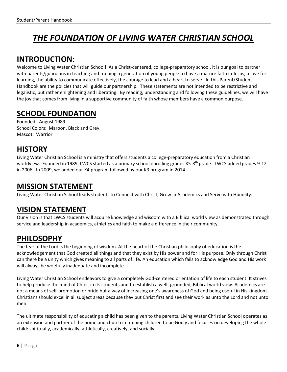# *THE FOUNDATION OF LIVING WATER CHRISTIAN SCHOOL*

# **INTRODUCTION**:

Welcome to Living Water Christian School! As a Christ-centered, college-preparatory school, it is our goal to partner with parents/guardians in teaching and training a generation of young people to have a mature faith in Jesus, a love for learning, the ability to communicate effectively, the courage to lead and a heart to serve. In this Parent/Student Handbook are the policies that will guide our partnership. These statements are not intended to be restrictive and legalistic, but rather enlightening and liberating. By reading, understanding and following these guidelines, we will have the joy that comes from living in a supportive community of faith whose members have a common purpose.

# **SCHOOL FOUNDATION**

Founded: August 1989 School Colors: Maroon, Black and Grey. Mascot: Warrior

# **HISTORY**

Living Water Christian School is a ministry that offers students a college-preparatory education from a Christian worldview. Founded in 1989, LWCS started as a primary school enrolling grades K5-8<sup>th</sup> grade. LWCS added grades 9-12 in 2006. In 2009, we added our K4 program followed by our K3 program in 2014.

### **MISSION STATEMENT**

Living Water Christian School leads students to Connect with Christ, Grow in Academics and Serve with Humility.

# **VISION STATEMENT**

Our vision is that LWCS students will acquire knowledge and wisdom with a Biblical world view as demonstrated through service and leadership in academics, athletics and faith to make a difference in their community.

# **PHILOSOPHY**

The fear of the Lord is the beginning of wisdom. At the heart of the Christian philosophy of education is the acknowledgement that God created all things and that they exist by His power and for His purpose. Only through Christ can there be a unity which gives meaning to all parts of life. An education which fails to acknowledge God and His work will always be woefully inadequate and incomplete.

Living Water Christian School endeavors to give a completely God-centered orientation of life to each student. It strives to help produce the mind of Christ in its students and to establish a well- grounded, Biblical world view. Academics are not a means of self-promotion or pride but a way of increasing one's awareness of God and being useful in His kingdom. Christians should excel in all subject areas because they put Christ first and see their work as unto the Lord and not unto men.

The ultimate responsibility of educating a child has been given to the parents. Living Water Christian School operates as an extension and partner of the home and church in training children to be Godly and focuses on developing the whole child: spiritually, academically, athletically, creatively, and socially.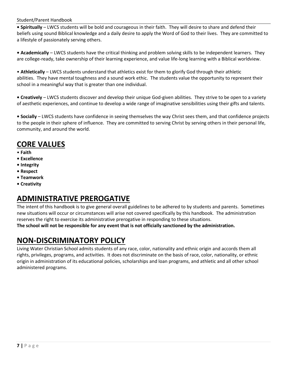**• Spiritually** – LWCS students will be bold and courageous in their faith. They will desire to share and defend their beliefs using sound Biblical knowledge and a daily desire to apply the Word of God to their lives. They are committed to a lifestyle of passionately serving others.

**• Academically** – LWCS students have the critical thinking and problem solving skills to be independent learners. They are college-ready, take ownership of their learning experience, and value life-long learning with a Biblical worldview.

• **Athletically** – LWCS students understand that athletics exist for them to glorify God through their athletic abilities. They have mental toughness and a sound work ethic. The students value the opportunity to represent their school in a meaningful way that is greater than one individual.

**• Creatively** – LWCS students discover and develop their unique God-given abilities. They strive to be open to a variety of aesthetic experiences, and continue to develop a wide range of imaginative sensibilities using their gifts and talents.

**• Socially** – LWCS students have confidence in seeing themselves the way Christ sees them, and that confidence projects to the people in their sphere of influence. They are committed to serving Christ by serving others in their personal life, community, and around the world.

# **CORE VALUES**

- **Faith**
- **Excellence**
- **Integrity**
- **Respect**
- **Teamwork**
- **Creativity**

# **ADMINISTRATIVE PREROGATIVE**

The intent of this handbook is to give general overall guidelines to be adhered to by students and parents. Sometimes new situations will occur or circumstances will arise not covered specifically by this handbook. The administration reserves the right to exercise its administrative prerogative in responding to these situations. **The school will not be responsible for any event that is not officially sanctioned by the administration.**

### **NON-DISCRIMINATORY POLICY**

Living Water Christian School admits students of any race, color, nationality and ethnic origin and accords them all rights, privileges, programs, and activities. It does not discriminate on the basis of race, color, nationality, or ethnic origin in administration of its educational policies, scholarships and loan programs, and athletic and all other school administered programs.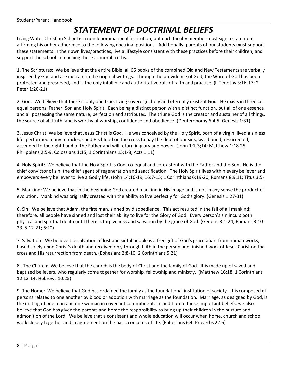# *STATEMENT OF DOCTRINAL BELIEFS*

Living Water Christian School is a nondenominational institution, but each faculty member must sign a statement affirming his or her adherence to the following doctrinal positions. Additionally, parents of our students must support these statements in their own lives/practices, live a lifestyle consistent with these practices before their children, and support the school in teaching these as moral truths.

1. The Scriptures: We believe that the entire Bible, all 66 books of the combined Old and New Testaments are verbally inspired by God and are inerrant in the original writings. Through the providence of God, the Word of God has been protected and preserved, and is the only infallible and authoritative rule of faith and practice. (II Timothy 3:16-17; 2 Peter 1:20-21)

2. God: We believe that there is only one true, living sovereign, holy and eternally existent God. He exists in three coequal persons: Father, Son and Holy Spirit. Each being a distinct person with a distinct function, but all of one essence and all possessing the same nature, perfection and attributes. The triune God is the creator and sustainer of all things, the source of all truth, and is worthy of worship, confidence and obedience. (Deuteronomy 6:4-5; Genesis 1:31)

3. Jesus Christ: We believe that Jesus Christ is God. He was conceived by the Holy Spirit, born of a virgin, lived a sinless life, performed many miracles, shed His blood on the cross to pay the debt of our sins, was buried, resurrected, ascended to the right hand of the Father and will return in glory and power. (John 1:1-3;14: Matthew 1:18-25; Philippians 2:5-9; Colossians 1:15; 1 Corinthians 15:1-8; Acts 1:11)

4. Holy Spirit: We believe that the Holy Spirit is God, co-equal and co-existent with the Father and the Son. He is the chief convictor of sin, the chief agent of regeneration and sanctification. The Holy Spirit lives within every believer and empowers every believer to live a Godly life. (John 14:16-19; 16:7-15; 1 Corinthians 6:19-20; Romans 8:9,11; Titus 3:5)

5. Mankind: We believe that in the beginning God created mankind in His image and is not in any sense the product of evolution. Mankind was originally created with the ability to live perfectly for God's glory. (Genesis 1:27-31)

6. Sin: We believe that Adam, the first man, sinned by disobedience. This act resulted in the fall of all mankind; therefore, all people have sinned and lost their ability to live for the Glory of God. Every person's sin incurs both physical and spiritual death until there is forgiveness and salvation by the grace of God. (Genesis 3:1-24; Romans 3:10- 23; 5:12-21; 6:20)

7. Salvation: We believe the salvation of lost and sinful people is a free gift of God's grace apart from human works, based solely upon Christ's death and received only through faith in the person and finished work of Jesus Christ on the cross and His resurrection from death. (Ephesians 2:8-10; 2 Corinthians 5:21)

8. The Church: We believe that the church is the body of Christ and the family of God. It is made up of saved and baptized believers, who regularly come together for worship, fellowship and ministry. (Matthew 16:18; 1 Corinthians 12:12-14; Hebrews 10:25)

9. The Home: We believe that God has ordained the family as the foundational institution of society. It is composed of persons related to one another by blood or adoption with marriage as the foundation. Marriage, as designed by God, is the uniting of one man and one woman in covenant commitment. In addition to these important beliefs, we also believe that God has given the parents and home the responsibility to bring up their children in the nurture and admonition of the Lord. We believe that a consistent and whole education will occur when home, church and school work closely together and in agreement on the basic concepts of life. (Ephesians 6:4; Proverbs 22:6)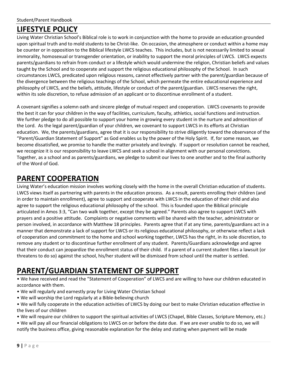### **LIFESTYLE POLICY**

Living Water Christian School's Biblical role is to work in conjunction with the home to provide an education grounded upon spiritual truth and to mold students to be Christ-like. On occasion, the atmosphere or conduct within a home may be counter or in opposition to the Biblical lifestyle LWCS teaches. This includes, but is not necessarily limited to sexual immorality, homosexual or transgender orientation, or inability to support the moral principles of LWCS. LWCS expects parents/guardians to refrain from conduct or a lifestyle which would undermine the religion, Christian beliefs and values taught by the School and to cooperate and support the religious educational philosophy of the School. In such circumstances LWCS, predicated upon religious reasons, cannot effectively partner with the parent/guardian because of the divergence between the religious teachings of the School, which permeate the entire educational experience and philosophy of LWCS, and the beliefs, attitude, lifestyle or conduct of the parent/guardian. LWCS reserves the right, within its sole discretion, to refuse admission of an applicant or to discontinue enrollment of a student.

A covenant signifies a solemn oath and sincere pledge of mutual respect and cooperation. LWCS covenants to provide the best it can for your children in the way of facilities, curriculum, faculty, athletics, social functions and instruction. We further pledge to do all possible to support your home in growing every student in the nurture and admonition of the Lord. As the legal parent/guardian of your children, we covenant to support LWCS in its efforts at Christian education. We, the parents/guardians, agree that it is our responsibility to strive diligently toward the observance of the "Parent/Guardian Statement of Support" as God enables us by the power of the Holy Spirit. If, for some reason, we become dissatisfied, we promise to handle the matter privately and lovingly. If support or resolution cannot be reached, we recognize it is our responsibility to leave LWCS and seek a school in alignment with our personal convictions. Together, as a school and as parents/guardians, we pledge to submit our lives to one another and to the final authority of the Word of God.

### **PARENT COOPERATION**

Living Water's education mission involves working closely with the home in the overall Christian education of students. LWCS views itself as partnering with parents in the education process. As a result, parents enrolling their children (and in order to maintain enrollment), agree to support and cooperate with LWCS in the education of their child and also agree to support the religious educational philosophy of the school. This is founded upon the Biblical principle articulated in Amos 3:3, "Can two walk together, except they be agreed." Parents also agree to support LWCS with prayers and a positive attitude. Complaints or negative comments will be shared with the teacher, administrator or person involved, in accordance with Matthew 18 principles. Parents agree that if at any time, parents/guardians act in a manner that demonstrate a lack of support for LWCS or its religious educational philosophy, or otherwise reflect a lack of cooperation and commitment to the home and school working together, LWCS has the right, in its sole discretion, to remove any student or to discontinue further enrollment of any student. Parents/Guardians acknowledge and agree that their conduct can jeopardize the enrollment status of their child. If a parent of a current student files a lawsuit (or threatens to do so) against the school, his/her student will be dismissed from school until the matter is settled.

# **PARENT/GUARDIAN STATEMENT OF SUPPORT**

• We have received and read the "Statement of Cooperation" of LWCS and are willing to have our children educated in accordance with them.

- We will regularly and earnestly pray for Living Water Christian School
- We will worship the Lord regularly at a Bible-believing church
- We will fully cooperate in the education activities of LWCS by doing our best to make Christian education effective in the lives of our children
- We will require our children to support the spiritual activities of LWCS (Chapel, Bible Classes, Scripture Memory, etc.)
- We will pay all our financial obligations to LWCS on or before the date due. If we are ever unable to do so, we will notify the business office, giving reasonable explanation for the delay and stating when payment will be made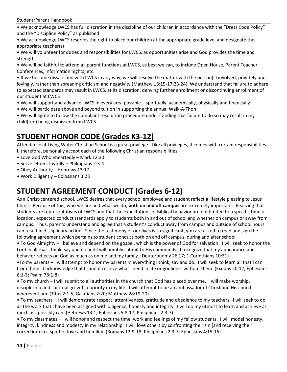- We acknowledge LWCS has full discretion in the discipline of our children in accordance with the "Dress Code Policy" and the "Discipline Policy" as published
- We acknowledge LWCS reserves the right to place our children at the appropriate grade level and designate the appropriate teacher(s)
- We will volunteer for duties and responsibilities for LWCS, as opportunities arise and God provides the time and strength
- We will be faithful to attend all parent functions at LWCS, as best we can, to include Open House, Parent Teacher Conferences, information nights, etc.
- If we become dissatisfied with LWCS in any way, we will resolve the matter with the person(s) involved, privately and lovingly, rather than spreading criticism and negativity (Matthew 18:15-17;23-24). We understand that failure to adhere to expected standards may result in LWCS, at its discretion, denying further enrollment or discontinuing enrollment of our student at LWCS
- We will support and advance LWCS in every area possible spiritually, academically, physically and financially
- We will participate above and beyond tuition in supporting the annual Walk-A-Thon

• We will agree to follow the complaint resolution procedure understanding that failure to do so may result in my child(ren) being dismissed from LWCS.

# **STUDENT HONOR CODE (Grades K3-12)**

Attendance at Living Water Christian School is a great privilege. Like all privileges, it comes with certain responsibilities. I, therefore, personally accept each of the following Christian responsibilities:

- Love God Wholeheartedly Mark 12:30
- Serve Others Joyfully Philippians 2:3-4
- Obey Authority Hebrews 13:17
- Work Diligently Colossians 3:23

# **STUDENT AGREEMENT CONDUCT (Grades 6-12)**

As a Christ-centered school, LWCS desires that every school employee and student reflect a lifestyle pleasing to Jesus Christ. Because of this, who we are and what we do, **both on and off campus** are extremely important. Realizing that students are representatives of LWCS and that the expectations of Biblical behavior are not limited to a specific time or location, expected conduct standards apply to students both in and out of school and whether on campus or away from campus. Thus, parents understand and agree that a student's conduct away from campus and outside of school hours can result in disciplinary action. Since the testimony of our lives is so significant, you are asked to read and sign the following agreement which pertains to student conduct both on and off campus, during and after school.

• To God Almighty – I believe and depend on the gospel, which is the power of God for salvation. I will seek to honor the Lord in all that I think, say and do and I will humbly submit to His commands. I recognize that my appearance and behavior reflects on God as much as on me and my family. (Deuteronomy 26:17; 1 Corinthians 10:31)

•To my parents – I will attempt to honor my parents in everything I think, say and do. I will seek to learn all that I can from them. I acknowledge that I cannot receive what I need in life or godliness without them. (Exodus 20:12; Ephesians 6:1-3; Psalm 78:1-8)

• To my church – I will submit to all authorities in the church that God has placed over me. I will make worship, discipleship and spiritual growth a priority in my life. I will attempt to be an ambassador of Christ and His church wherever I am. (Titus 2:1-5; Galatians 2:20; Matthew 28:19-20)

• To my teachers – I will demonstrate respect, attentiveness, gratitude and obedience to my teachers. I will seek to do all the work that I have been assigned with diligence, honesty and integrity. I will do my utmost to learn and achieve as much as I possibly can. (Hebrews 13:1; Ephesians 5:8-17; Philippians 2:3-7)

• To my classmates – I will honor and respect the time, work and feelings of my fellow students. I will model honesty, integrity, kindness and modesty in my relationship. I will love others by confronting their sin (and receiving their correction) in a spirit of love and humility. (Romans 12:9-18; Philippians 2:3-7; Ephesians 4:15-16)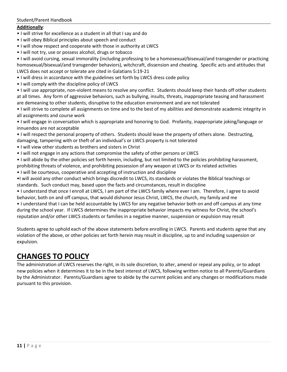### **Additionally**:

- I will strive for excellence as a student in all that I say and do
- I will obey Biblical principles about speech and conduct
- I will show respect and cooperate with those in authority at LWCS
- I will not try, use or possess alcohol, drugs or tobacco

• I will avoid cursing, sexual immorality (including professing to be a homosexual/bisexual/and transgender or practicing homosexual/bisexual/and transgender behaviors), witchcraft, dissension and cheating. Specific acts and attitudes that LWCS does not accept or tolerate are cited in Galatians 5:19-21

- I will dress in accordance with the guidelines set forth by LWCS dress code policy
- I will comply with the discipline policy of LWCS

• I will use appropriate, non-violent means to resolve any conflict. Students should keep their hands off other students at all times. Any form of aggressive behaviors, such as bullying, insults, threats, inappropriate teasing and harassment are demeaning to other students, disruptive to the education environment and are not tolerated

• I will strive to complete all assignments on time and to the best of my abilities and demonstrate academic integrity in all assignments and course work

• I will engage in conversation which is appropriate and honoring to God. Profanity, inappropriate joking/language or innuendos are not acceptable

- I will respect the personal property of others. Students should leave the property of others alone. Destructing, damaging, tampering with or theft of an individual's or LWCS property is not tolerated
- I will view other students as brothers and sisters in Christ
- I will not engage in any actions that compromise the safety of other persons or LWCS
- I will abide by the other policies set forth herein, including, but not limited to the policies prohibiting harassment, prohibiting threats of violence, and prohibiting possession of any weapon at LWCS or its related activities
- I will be courteous, cooperative and accepting of instruction and discipline

•I will avoid any other conduct which brings discredit to LWCS, its standards or violates the Biblical teachings or standards. Such conduct may, based upon the facts and circumstances, result in discipline

• I understand that once I enroll at LWCS, I am part of the LWCS family where ever I am. Therefore, I agree to avoid behavior, both on and off campus, that would dishonor Jesus Christ, LWCS, the church, my family and me

• I understand that I can be held accountable by LWCS for any negative behavior both on and off campus at any time during the school year. If LWCS determines the inappropriate behavior impacts my witness for Christ, the school's reputation and/or other LWCS students or families in a negative manner, suspension or expulsion may result

Students agree to uphold each of the above statements before enrolling in LWCS. Parents and students agree that any violation of the above, or other policies set forth herein may result in discipline, up to and including suspension or expulsion.

# **CHANGES TO POLICY**

The administration of LWCS reserves the right, in its sole discretion, to alter, amend or repeal any policy, or to adopt new policies when it determines it to be in the best interest of LWCS, following written notice to all Parents/Guardians by the Administrator. Parents/Guardians agree to abide by the current policies and any changes or modifications made pursuant to this provision.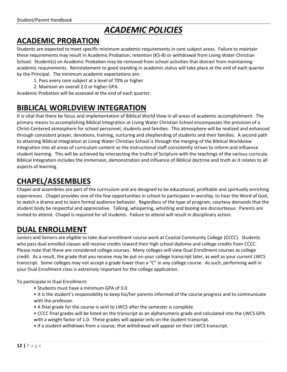# *ACADEMIC POLICIES*

# **ACADEMIC PROBATION**

Students are expected to meet specific minimum academic requirements in core subject areas. Failure to maintain these requirements may result in Academic Probation, retention (K5-8) or withdrawal from Living Water Christian School. Student(s) on Academic Probation may be removed from school activities that distract from maintaining academic requirements. Reinstatement to good standing in academic status will take place at the end of each quarter by the Principal. The minimum academic expectations are:

- 1. Pass every core subject at a level of 70% or higher
- 2. Maintain an overall 2.0 or higher GPA.

Academic Probation will be assessed at the end of each quarter.

# **BIBLICAL WORLDVIEW INTEGRATION**

It is vital that there be focus and implementation of Biblical World View in all areas of academic accomplishment. The primary means to accomplishing Biblical Integration at Living Water Christian School encompasses the provision of a Christ-Centered atmosphere for school personnel, students and families. This atmosphere will be realized and enhanced through consistent prayer, devotions, training, nurturing and shepherding of students and their families. A second path to attaining Biblical Integration at Living Water Christian School is through the merging of the Biblical Worldview Integration into all areas of curriculum content as the instructional staff consistently strives to inform and influence student learning. This will be achieved by intersecting the truths of Scripture with the teachings of the various curricula. Biblical Integration includes the immersion, demonstration and influence of Biblical doctrine and truth as it relates to all aspects of learning.

# **CHAPEL/ASSEMBLIES**

Chapel and assemblies are part of the curriculum and are designed to be educational, profitable and spiritually enriching experiences. Chapel provides one of the few opportunities in school to participate in worship, to hear the Word of God, to watch a drama and to learn formal audience behavior. Regardless of the type of program, courtesy demands that the student body be respectful and appreciative. Talking, whispering, whistling and booing are discourteous. Parents are invited to attend. Chapel is required for all students. Failure to attend will result in disciplinary action.

# **DUAL ENROLLMENT**

Juniors and Seniors are eligible to take dual enrollment course work at Coastal Community College (CCCC). Students who pass dual enrolled classes will receive credits toward their high school diploma and college credits from CCCC. Please note that these are considered college courses. Many colleges will view Dual Enrollment courses as college credit. As a result, the grade that you receive may be put on your college transcript later, as well as your current LWCS transcript. Some colleges may not accept a grade lower than a "C" in any college course. As such, performing well in your Dual Enrollment class is extremely important for the college application.

To participate in Dual Enrollment:

- Students must have a minimum GPA of 3.0
- It is the student's responsibility to keep his/her parents informed of the course progress and to communicate with the professor.
- A final grade for the course is sent to LWCS after the semester is complete.
- CCCC final grades will be listed on the transcript as an alphanumeric grade and calculated into the LWCS GPA with a weight factor of 1.0. These grades will appear only on the student transcript.
- If a student withdraws from a course, that withdrawal will appear on their LWCS transcript.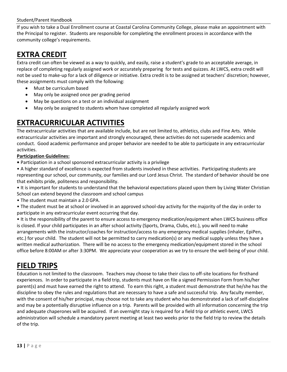If you wish to take a Dual Enrollment course at Coastal Carolina Community College, please make an appointment with the Principal to register. Students are responsible for completing the enrollment process in accordance with the community college's requirements.

### **EXTRA CREDIT**

Extra credit can often be viewed as a way to quickly, and easily, raise a student's grade to an acceptable average, in replace of completing regularly assigned work or accurately preparing for tests and quizzes. At LWCS, extra credit will not be used to make-up for a lack of diligence or initiative. Extra credit is to be assigned at teachers' discretion; however, these assignments must comply with the following:

- Must be curriculum based
- May only be assigned once per grading period
- May be questions on a test or an individual assignment
- May only be assigned to students whom have completed all regularly assigned work

# **EXTRACURRICULAR ACTIVITIES**

The extracurricular activities that are available include, but are not limited to, athletics, clubs and Fine Arts. While extracurricular activities are important and strongly encouraged, these activities do not supersede academics and conduct. Good academic performance and proper behavior are needed to be able to participate in any extracurricular activities.

### **Participation Guidelines:**

- Participation in a school sponsored extracurricular activity is a privilege
- A higher standard of excellence is expected from students involved in these activities. Participating students are representing our school, our community, our families and our Lord Jesus Christ. The standard of behavior should be one that exhibits pride, politeness and responsibility.

• It is important for students to understand that the behavioral expectations placed upon them by Living Water Christian School can extend beyond the classroom and school campus

- The student must maintain a 2.0 GPA.
- The student must be at school or involved in an approved school-day activity for the majority of the day in order to participate in any extracurricular event occurring that day.

• It is the responsibility of the parent to ensure access to emergency medication/equipment when LWCS business office is closed. If your child participates in an after school activity (Sports, Drama, Clubs, etc.), you will need to make arrangements with the instructor/coaches for instruction/access to any emergency medical supplies (inhaler, EpiPen, etc.) for your child. The student will not be permitted to carry medication(s) or any medical supply unless they have a written medical authorization. There will be no access to the emergency medication/equipment stored in the school office before 8:00AM or after 3:30PM. We appreciate your cooperation as we try to ensure the well-being of your child.

### **FIELD TRIPS**

Education is not limited to the classroom. Teachers may choose to take their class to off-site locations for firsthand experiences. In order to participate in a field trip, students must have on file a signed Permission Form from his/her parent(s) and must have earned the right to attend. To earn this right, a student must demonstrate that he/she has the discipline to obey the rules and regulations that are necessary to have a safe and successful trip. Any faculty member, with the consent of his/her principal, may choose not to take any student who has demonstrated a lack of self-discipline and may be a potentially disruptive influence on a trip. Parents will be provided with all information concerning the trip and adequate chaperones will be acquired. If an overnight stay is required for a field trip or athletic event, LWCS administration will schedule a mandatory parent meeting at least two weeks prior to the field trip to review the details of the trip.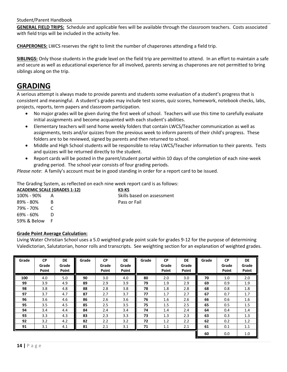**GENERAL FIELD TRIPS:** Schedule and applicable fees will be available through the classroom teachers. Costs associated with field trips will be included in the activity fee.

**CHAPERONES:** LWCS reserves the right to limit the number of chaperones attending a field trip.

**SIBLINGS:** Only those students in the grade level on the field trip are permitted to attend. In an effort to maintain a safe and secure as well as educational experience for all involved, parents serving as chaperones are not permitted to bring siblings along on the trip.

### **GRADING**

A serious attempt is always made to provide parents and students some evaluation of a student's progress that is consistent and meaningful. A student's grades may include test scores, quiz scores, homework, notebook checks, labs, projects, reports, term papers and classroom participation.

- No major grades will be given during the first week of school. Teachers will use this time to carefully evaluate initial assignments and become acquainted with each student's abilities.
- Elementary teachers will send home weekly folders that contain LWCS/Teacher communication as well as assignments, tests and/or quizzes from the previous week to inform parents of their child's progress. These folders are to be reviewed, signed by parents and then returned to school.
- Middle and High School students will be responsible to relay LWCS/Teacher information to their parents. Tests and quizzes will be returned directly to the student.
- Report cards will be posted in the parent/student portal within 10 days of the completion of each nine-week grading period. The school year consists of four grading periods.

*Please note*: A family's account must be in good standing in order for a report card to be issued.

The Grading System, as reflected on each nine week report card is as follows:

|               | <b>ACADEMIC SCALE (GRADES 1-12)</b> | K3-K5                      |  |  |
|---------------|-------------------------------------|----------------------------|--|--|
| 100% - 90%    |                                     | Skills based on assessment |  |  |
| 89% - 80%     |                                     | Pass or Fail               |  |  |
| 79% - 70%     |                                     |                            |  |  |
| 69% - 60%     |                                     |                            |  |  |
| 59% & Below F |                                     |                            |  |  |

### **Grade Point Average Calculation:**

Living Water Christian School uses a 5.0 weighted grade point scale for grades 9-12 for the purpose of determining Valedictorian, Salutatorian, honor rolls and transcripts. See weighting section for an explanation of weighted grades.

| Grade | <b>CP</b><br>Grade<br>Point | DE<br>Grade<br>Point | Grade | <b>CP</b><br>Grade<br>Point | DE<br>Grade<br>Point | Grade | <b>CP</b><br>Grade<br>Point | DE<br>Grade<br>Point | Grade | <b>CP</b><br>Grade<br>Point | <b>DE</b><br>Grade<br>Point |
|-------|-----------------------------|----------------------|-------|-----------------------------|----------------------|-------|-----------------------------|----------------------|-------|-----------------------------|-----------------------------|
| 100   | 4.0                         | 5.0                  | 90    | 3.0                         | 4.0                  | 80    | 2.0                         | 3.0                  | 70    | 1.0                         | 2.0                         |
| 99    | 3.9                         | 4.9                  | 89    | 2.9                         | 3.9                  | 79    | 1.9                         | 2.9                  | 69    | 0.9                         | 1.9                         |
| 98    | 3.8                         | 4.8                  | 88    | 2.8                         | 3.8                  | 78    | 1.8                         | 2.8                  | 68    | 0.8                         | 1.8                         |
| 97    | 3.7                         | 4.7                  | 87    | 2.7                         | 3.7                  | 77    | 1.7                         | 2.7                  | 67    | 0.7                         | 1.7                         |
| 96    | 3.6                         | 4.6                  | 86    | 2.6                         | 3.6                  | 76    | 1.6                         | 2.6                  | 66    | 0.6                         | $1.6\,$                     |
| 95    | 3.5                         | 4.5                  | 85    | 2.5                         | 3.5                  | 75    | 1.5                         | 2.5                  | 65    | 0.5                         | 1.5                         |
| 94    | 3.4                         | 4.4                  | 84    | 2.4                         | 3.4                  | 74    | 1.4                         | 2.4                  | 64    | 0.4                         | 1.4                         |
| 93    | 3.3                         | 4.3                  | 83    | 2.3                         | 3.3                  | 73    | 1.3                         | 2.3                  | 63    | 0.3                         | 1.3                         |
| 92    | 3.2                         | 4.2                  | 82    | 2.2                         | 3.2                  | 72    | 1.2                         | 2.2                  | 62    | 0.2                         | 1.2                         |
| 91    | 3.1                         | 4.1                  | 81    | 2.1                         | 3.1                  | 71    | 1.1                         | 2.1                  | 61    | 0.1                         | 1.1                         |
|       |                             |                      |       |                             |                      |       |                             |                      | 60    | 0.0                         | 1.0                         |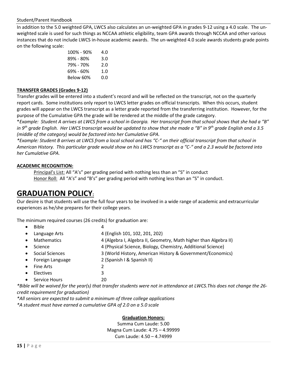In addition to the 5.0 weighted GPA, LWCS also calculates an un-weighted GPA in grades 9-12 using a 4.0 scale. The unweighted scale is used for such things as NCCAA athletic eligibility, team GPA awards through NCCAA and other various instances that do not include LWCS in-house academic awards. The un-weighted 4.0 scale awards students grade points on the following scale:

| 100% - 90% | 4.0 |
|------------|-----|
| 89% - 80%  | 3.0 |
| 79% - 70%  | 2.0 |
| 69% - 60%  | 1.0 |
| Below 60%  | ი.ი |

### **TRANSFER GRADES (Grades 9-12)**

Transfer grades will be entered into a student's record and will be reflected on the transcript, not on the quarterly report cards. Some institutions only report to LWCS letter grades on official transcripts. When this occurs, student grades will appear on the LWCS transcript as a letter grade reported from the transferring institution. However, for the purpose of the Cumulative GPA the grade will be rendered at the middle of the grade category.

\**Example: Student A arrives at LWCS from a school in Georgia. Her transcript from that school shows that she had a "B" in 9th grade English. Her LWCS transcript would be updated to show that she made a "B" in 9th grade English and a 3.5 (middle of the category) would be factored into her Cumulative GPA.* 

*\*Example: Student B arrives at LWCS from a local school and has "C-" on their official transcript from that school in American History. This particular grade would show on his LWCS transcript as a "C-" and a 2.3 would be factored into her Cumulative GPA.*

### **ACADEMIC RECOGNITION:**

Principal's List: All "A's" per grading period with nothing less than an "S" in conduct Honor Roll: All "A's" and "B's" per grading period with nothing less than an "S" in conduct.

### **GRADUATION POLICY:**

Our desire is that students will use the full four years to be involved in a wide range of academic and extracurricular experiences as he/she prepares for their college years.

The minimum required courses (26 credits) for graduation are:

- Bible 4
- Language Arts 4 (English 101, 102, 201, 202)
- Mathematics 4 (Algebra I, Algebra II, Geometry, Math higher than Algebra II)
	- Science 4 (Physical Science, Biology, Chemistry, Additional Science)
- Social Sciences 3 (World History, American History & Government/Economics)
- Foreign Language 2 (Spanish I & Spanish II)
- Fine Arts 2
- Electives 3
- **Service Hours 20 20**

*\*Bible will be waived for the year(s) that transfer students were not in attendance at LWCS.This does not change the 26 credit requirement for graduation)*

*\*All seniors are expected to submit a minimum of three college applications \*A student must have earned a cumulative GPA of 2.0 on a 5.0 scale*

### **Graduation Honors:**

Summa Cum Laude: 5.00 Magna Cum Laude: 4.75 – 4.99999 Cum Laude: 4.50 – 4.74999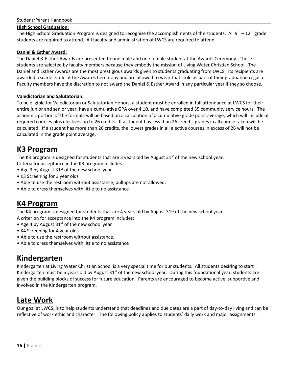### **High School Graduation:**

The High School Graduation Program is designed to recognize the accomplishments of the students. All  $9^{th} - 12^{th}$  grade students are required to attend. All faculty and administration of LWCS are required to attend.

### **Daniel & Esther Award:**

The Daniel & Esther Awards are presented to one male and one female student at the Awards Ceremony. These students are selected by faculty members because they embody the mission of Living Water Christian School. The Daniel and Esther Awards are the most prestigious awards given to students graduating from LWCS. Its recipients are awarded a scarlet stole at the Awards Ceremony and are allowed to wear that stole as part of their graduation regalia. Faculty members have the discretion to not award the Daniel & Esther Award in any particular year if they so choose.

### **Valedictorian and Salutatorian:**

To be eligible for Valedictorian or Salutatorian Honors, a student must be enrolled in full attendance at LWCS for their entire junior and senior year, have a cumulative GPA over 4.10, and have completed 35 community service hours. The academic portion of the formula will be based on a calculation of a cumulative grade point average, which will include all required courses plus electives up to 26 credits. If a student has less than 26 credits, grades in all course taken will be calculated. If a student has more than 26 credits, the lowest grades in all elective courses in excess of 26 will not be calculated in the grade point average.

### **K3 Program**

The K3 program is designed for students that are 3 years old by August  $31<sup>st</sup>$  of the new school year.

- Criteria for acceptance in the K3 program includes
- Age 3 by August  $31<sup>st</sup>$  of the new school year
- K3 Screening for 3 year olds
- Able to use the restroom without assistance, pullups are not allowed.
- Able to dress themselves with little to no assistance

### **K4 Program**

The K4 program is designed for students that are 4 years old by August  $31<sup>st</sup>$  of the new school year.

A criterion for acceptance into the K4 program includes:

- Age 4 by August  $31^{st}$  of the new school year
- K4 Screening for 4 year olds
- Able to use the restroom without assistance.
- Able to dress themselves with little to no assistance

### **Kindergarten**

Kindergarten at Living Water Christian School is a very special time for our students. All students desiring to start Kindergarten must be 5 years old by August 31<sup>st</sup> of the new school year. During this foundational year, students are given the building blocks of success for future education. Parents are encouraged to become active, supportive and involved in the Kindergarten program.

### **Late Work**

Our goal at LWCS, is to help students understand that deadlines and due dates are a part of day-to-day living and can be reflective of work ethic and character. The following policy applies to students' daily work and major assignments.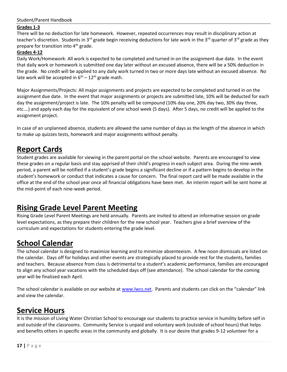### **Grades 1-3**

There will be no deduction for late homework. However, repeated occurrences may result in disciplinary action at teacher's discretion. Students in 3<sup>rd</sup> grade begin receiving deductions for late work in the 3<sup>rd</sup> quarter of 3<sup>rd</sup> grade as they prepare for transition into 4<sup>th</sup> grade.

### **Grades 4-12**

Daily Work/Homework: All work is expected to be completed and turned in on the assignment due date. In the event that daily work or homework is submitted one day later without an excused absence, there will be a 50% deduction in the grade. No credit will be applied to any daily work turned in two or more days late without an excused absence. No late work will be accepted in  $6<sup>th</sup> - 12<sup>th</sup>$  grade math.

Major Assignments/Projects: All major assignments and projects are expected to be completed and turned in on the assignment due date. In the event that major assignments or projects are submitted late, 10% will be deducted for each day the assignment/project is late. The 10% penalty will be compound (10% day one, 20% day two, 30% day three, etc.…) and apply each day for the equivalent of one school week (5 days). After 5 days, no credit will be applied to the assignment project.

In case of an unplanned absence, students are allowed the same number of days as the length of the absence in which to make up quizzes tests, homework and major assignments without penalty.

### **Report Cards**

Student grades are available for viewing in the parent portal on the school website. Parents are encouraged to view these grades on a regular basis and stay apprised of their child's progress in each subject area. During the nine-week period, a parent will be notified if a student's grade begins a significant decline or if a pattern begins to develop in the student's homework or conduct that indicates a cause for concern. The final report card will be made available in the office at the end of the school year once all financial obligations have been met. An interim report will be sent home at the mid-point of each nine-week period.

### **Rising Grade Level Parent Meeting**

Rising Grade Level Parent Meetings are held annually. Parents are invited to attend an informative session on grade level expectations, as they prepare their children for the new school year. Teachers give a brief overview of the curriculum and expectations for students entering the grade level.

### **School Calendar**

The school calendar is designed to maximize learning and to minimize absenteeism. A few noon dismissals are listed on the calendar. Days off for holidays and other events are strategically placed to provide rest for the students, families and teachers. Because absence from class is detrimental to a student's academic performance, families are encouraged to align any school year vacations with the scheduled days off (see attendance). The school calendar for the coming year will be finalized each April.

The school calendar is available on our website at [www.lwcs.net](http://www.lwcs.net/). Parents and students can click on the "calendar" link and view the calendar.

### **Service Hours**

It is the mission of Living Water Christian School to encourage our students to practice service in humility before self in and outside of the classrooms. Community Service is unpaid and voluntary work (outside of school hours) that helps and benefits others in specific areas in the community and globally. It is our desire that grades 9-12 volunteer for a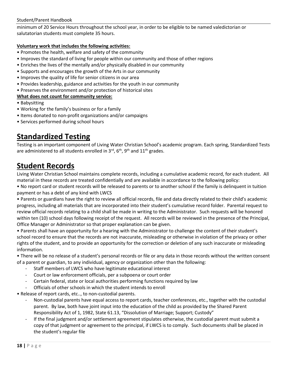minimum of 20 Service Hours throughout the school year, in order to be eligible to be named valedictorian or salutatorian students must complete 35 hours.

### **Voluntary work that includes the following activities:**

- Promotes the health, welfare and safety of the community
- Improves the standard of living for people within our community and those of other regions
- Enriches the lives of the mentally and/or physically disabled in our community
- Supports and encourages the growth of the Arts in our community
- Improves the quality of life for senior citizens in our area
- Provides leadership, guidance and activities for the youth in our community
- Preserves the environment and/or protection of historical sites

### **What does not count for community service:**

- Babysitting
- Working for the family's business or for a family
- Items donated to non-profit organizations and/or campaigns
- Services performed during school hours

# **Standardized Testing**

Testing is an important component of Living Water Christian School's academic program. Each spring, Standardized Tests are administered to all students enrolled in  $3^{rd}$ ,  $6^{th}$ ,  $9^{th}$  and  $11^{th}$  grades.

### **Student Records**

Living Water Christian School maintains complete records, including a cumulative academic record, for each student. All material in these records are treated confidentially and are available in accordance to the following policy:

• No report card or student records will be released to parents or to another school if the family is delinquent in tuition payment or has a debt of any kind with LWCS

• Parents or guardians have the right to review all official records, file and data directly related to their child's academic progress, including all materials that are incorporated into their student's cumulative record folder. Parental request to review official records relating to a child shall be made in writing to the Administrator. Such requests will be honored within ten (10) school days following receipt of the request. All records will be reviewed in the presence of the Principal, Office Manager or Administrator so that proper explanation can be given.

• Parents shall have an opportunity for a hearing with the Administrator to challenge the content of their student's school record to ensure that the records are not inaccurate, misleading or otherwise in violation of the privacy or other rights of the student, and to provide an opportunity for the correction or deletion of any such inaccurate or misleading information.

• There will be no release of a student's personal records or file or any data in those records without the written consent of a parent or guardian, to any individual, agency or organization other than the following:

- Staff members of LWCS who have legitimate educational interest
- Court or law enforcement officials, per a subpoena or court order
- Certain federal, state or local authorities performing functions required by law
- Officials of other schools in which the student intends to enroll
- Release of report cards, etc.., to non-custodial parents.
	- Non-custodial parents have equal access to report cards, teacher conferences, etc., together with the custodial parent. By law, both have joint input into the education of the child as provided by the Shared Parent Responsibility Act of 1, 1982, State 61.13, "Dissolution of Marriage; Support; Custody"
	- If the final judgment and/or settlement agreement stipulates otherwise, the custodial parent must submit a copy of that judgment or agreement to the principal, if LWCS is to comply. Such documents shall be placed in the student's regular file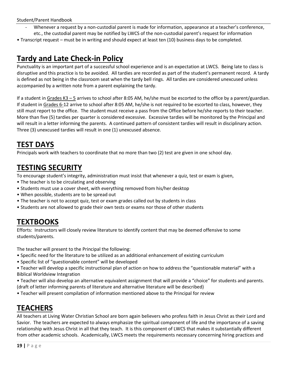- Whenever a request by a non-custodial parent is made for information, appearance at a teacher's conference, etc., the custodial parent may be notified by LWCS of the non-custodial parent's request for information
- Transcript request must be in writing and should expect at least ten (10) business days to be completed.

# **Tardy and Late Check-in Policy**

Punctuality is an important part of a successful school experience and is an expectation at LWCS. Being late to class is disruptive and this practice is to be avoided. All tardies are recorded as part of the student's permanent record. A tardy is defined as not being in the classroom seat when the tardy bell rings. All tardies are considered unexcused unless accompanied by a written note from a parent explaining the tardy.

If a student in Grades K3 – 5 arrives to school after 8:05 AM, he/she must be escorted to the office by a parent/guardian. If student in Grades 6-12 arrive to school after 8:05 AM, he/she is not required to be escorted to class, however, they still must report to the office. The student must receive a pass from the Office before he/she reports to their teacher. More than five (5) tardies per quarter is considered excessive. Excessive tardies will be monitored by the Principal and will result in a letter informing the parents. A continued pattern of consistent tardies will result in disciplinary action. Three (3) unexcused tardies will result in one (1) unexcused absence.

# **TEST DAYS**

Principals work with teachers to coordinate that no more than two (2) test are given in one school day.

### **TESTING SECURITY**

To encourage student's integrity, administration must insist that whenever a quiz, test or exam is given,

- The teacher is to be circulating and observing
- Students must use a cover sheet, with everything removed from his/her desktop
- When possible, students are to be spread out
- The teacher is not to accept quiz, test or exam grades called out by students in class
- Students are not allowed to grade their own tests or exams nor those of other students

# **TEXTBOOKS**

Efforts: Instructors will closely review literature to identify content that may be deemed offensive to some students/parents.

The teacher will present to the Principal the following:

- Specific need for the literature to be utilized as an additional enhancement of existing curriculum
- Specific list of "questionable content" will be developed

• Teacher will develop a specific instructional plan of action on how to address the "questionable material" with a Biblical Worldview Integration

• Teacher will also develop an alternative equivalent assignment that will provide a "choice" for students and parents. (draft of letter informing parents of literature and alternative literature will be described)

• Teacher will present compilation of information mentioned above to the Principal for review

### **TEACHERS**

All teachers at Living Water Christian School are born again believers who profess faith in Jesus Christ as their Lord and Savior. The teachers are expected to always emphasize the spiritual component of life and the importance of a saving relationship with Jesus Christ in all that they teach. It is this component of LWCS that makes it substantially different from other academic schools. Academically, LWCS meets the requirements necessary concerning hiring practices and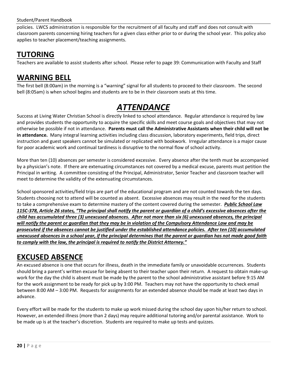policies. LWCS administration is responsible for the recruitment of all faculty and staff and does not consult with classroom parents concerning hiring teachers for a given class either prior to or during the school year. This policy also applies to teacher placement/teaching assignments.

### **TUTORING**

Teachers are available to assist students after school. Please refer to page 39: Communication with Faculty and Staff

# **WARNING BELL**

The first bell (8:00am) in the morning is a "warning" signal for all students to proceed to their classroom. The second bell (8:05am) is when school begins and students are to be in their classroom seats at this time.

# *ATTENDANCE*

Success at Living Water Christian School is directly linked to school attendance. Regular attendance is required by law and provides students the opportunity to acquire the specific skills and meet course goals and objectives that may not otherwise be possible if not in attendance. **Parents must call the Administrative Assistants when their child will not be in attendance.** Many integral learning activities including class discussion, laboratory experiments, field trips, direct instruction and guest speakers cannot be simulated or replicated with bookwork. Irregular attendance is a major cause for poor academic work and continual tardiness is disruptive to the normal flow of school activity.

More than ten (10) absences per semester is considered excessive. Every absence after the tenth must be accompanied by a physician's note. If there are extenuating circumstances not covered by a medical excuse, parents must petition the Principal in writing. A committee consisting of the Principal, Administrator, Senior Teacher and classroom teacher will meet to determine the validity of the extenuating circumstances.

School sponsored activities/field trips are part of the educational program and are not counted towards the ten days. Students choosing not to attend will be counted as absent. Excessive absences may result in the need for the students to take a comprehensive exam to determine mastery of the content covered during the semester. *Public School Law 115C-378, Article 26 states, "The principal shall notify the parent or guardian of a child's excessive absences after the child has accumulated three (3) unexcused absences. After not more than six (6) unexcused absences, the principal will notify the parent or guardian that they may be in violation of the Compulsory Attendance Law and may be prosecuted if the absences cannot be justified under the established attendance policies. After ten (10) accumulated unexcused absences in a school year, if the principal determines that the parent or guardian has not made good faith to comply with the law, the principal is required to notify the District Attorney."* 

# **EXCUSED ABSENCE**

An excused absence is one that occurs for illness, death in the immediate family or unavoidable occurrences. Students should bring a parent's written excuse for being absent to their teacher upon their return. A request to obtain make-up work for the day the child is absent must be made by the parent to the school administrative assistant before 9:15 AM for the work assignment to be ready for pick up by 3:00 PM. Teachers may not have the opportunity to check email between 8:00 AM – 3:00 PM. Requests for assignments for an extended absence should be made at least two days in advance.

Every effort will be made for the students to make up work missed during the school day upon his/her return to school. However, an extended illness (more than 2 days) may require additional tutoring and/or parental assistance. Work to be made up is at the teacher's discretion. Students are required to make up tests and quizzes.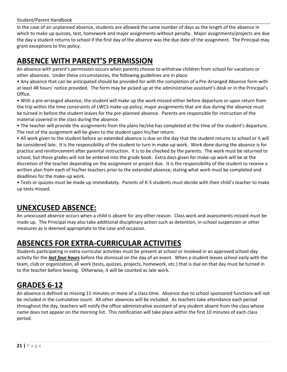In the case of an unplanned absence, students are allowed the same number of days as the length of the absence in which to make up quizzes, test, homework and major assignments without penalty. Major assignments/projects are due the day a student returns to school if the first day of the absence was the due date of the assignment. The Principal may grant exceptions to this policy.

# **ABSENCE WITH PARENT'S PERMISSION**

An absence with parent's permission occurs when parents choose to withdraw children from school for vacations or other absences. Under these circumstances, the following guidelines are in place:

• Any absence that can be anticipated should be provided for with the completion of a Pre-Arranged Absence form with at least 48 hours' notice provided. The form may be picked up at the administrative assistant's desk or in the Principal's Office.

• With a pre-arranged absence, the student will make up the work missed either before departure or upon return from the trip within the time constraints of LWCS make-up policy; major assignments that are due during the absence must be turned in before the student leaves for the pre-planned absence. Parents are responsible for instruction of the material covered in the class during the absence.

• The teacher will provide the assignments from the plans he/she has completed at the time of the student's departure. The rest of the assignment will be given to the student upon his/her return.

• All work given to the student before an extended absence is due on the day that the student returns to school or it will be considered late. It is the responsibility of the student to turn in make-up work. Work done during the absence is for practice and reinforcement after parental instruction. It is to be checked by the parents. The work must be returned to school, but those grades will not be entered into the grade book. Extra days given for make-up work will be at the discretion of the teacher depending on the assignment or project due. It is the responsibility of the student to receive a written plan from each of his/her teachers prior to the extended absence, stating what work must be completed and deadlines for the make-up work.

• Tests or quizzes must be made up immediately. Parents of K-5 students must decide with their child's teacher to make up tests missed.

### **UNEXCUSED ABSENCE:**

An unexcused absence occurs when a child is absent for any other reason. Class work and assessments missed must be made up. The Principal may also take additional disciplinary action such as detention, in-school suspension or other measures as is deemed appropriate to the case and occasion.

# **ABSENCES FOR EXTRA-CURRICULAR ACTIVITIES**

Students participating in extra-curricular activities must be present at school or involved in an approved school-day activity for the *last four hours* before the dismissal on the day of an event. When a student leaves school early with the team, club or organization, all work (tests, quizzes, projects, homework, etc.) that is due on that day must be turned in to the teacher before leaving. Otherwise, it will be counted as late work.

# **GRADES 6-12**

An absence is defined as missing 15 minutes or more of a class time. Absence due to school sponsored functions will not be included in the cumulative count. All other absences will be included. As teachers take attendance each period throughout the day, teachers will notify the office administrative assistant of any student absent from the class whose name does not appear on the morning list. This notification will take place within the first 10 minutes of each class period.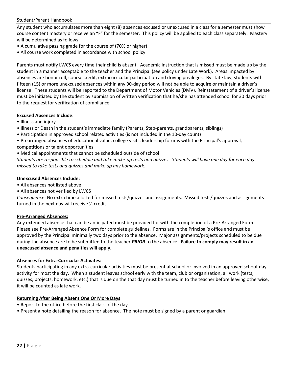Any student who accumulates more than eight (8) absences excused or unexcused in a class for a semester must show course content mastery or receive an "F" for the semester. This policy will be applied to each class separately. Mastery will be determined as follows:

- A cumulative passing grade for the course of (70% or higher)
- All course work completed in accordance with school policy

Parents must notify LWCS every time their child is absent. Academic instruction that is missed must be made up by the student in a manner acceptable to the teacher and the Principal (see policy under Late Work). Areas impacted by absences are honor roll, course credit, extracurricular participation and driving privileges. By state law, students with fifteen (15) or more unexcused absences within any 90-day period will not be able to acquire or maintain a driver's license. These students will be reported to the Department of Motor Vehicles (DMV). Reinstatement of a driver's license must be initiated by the student by submission of written verification that he/she has attended school for 30 days prior to the request for verification of compliance.

### **Excused Absences Include:**

- Illness and injury
- Illness or Death in the student's immediate family (Parents, Step-parents, grandparents, siblings)
- Participation in approved school related activities (is not included in the 10-day count)
- Prearranged absences of educational value, college visits, leadership forums with the Principal's approval, competitions or talent opportunities.
- Medical appointments that cannot be scheduled outside of school

*Students are responsible to schedule and take make-up tests and quizzes. Students will have one day for each day missed to take tests and quizzes and make up any homework*.

### **Unexcused Absences Include:**

- All absences not listed above
- All absences not verified by LWCS

*Consequence:* No extra time allotted for missed tests/quizzes and assignments. Missed tests/quizzes and assignments turned in the next day will receive ½ credit.

### **Pre-Arranged Absences:**

Any extended absence that can be anticipated must be provided for with the completion of a Pre-Arranged Form. Please see Pre-Arranged Absence Form for complete guidelines. Forms are in the Principal's office and must be approved by the Principal minimally two days prior to the absence. Major assignments/projects scheduled to be due during the absence are to be submitted to the teacher *PRIOR* to the absence. **Failure to comply may result in an unexcused absence and penalties will apply.**

### **Absences for Extra-Curricular Activates:**

Students participating in any extra-curricular activities must be present at school or involved in an approved school-day activity for most the day. When a student leaves school early with the team, club or organization, all work (tests, quizzes, projects, homework, etc.) that is due on the that day must be turned in to the teacher before leaving otherwise, it will be counted as late work.

### **Returning After Being Absent One Or More Days**

- Report to the office before the first class of the day
- Present a note detailing the reason for absence. The note must be signed by a parent or guardian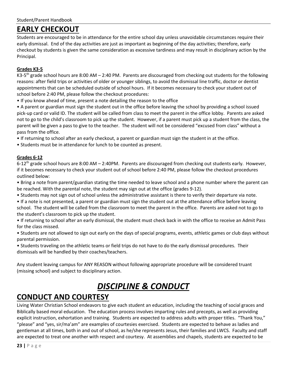### **EARLY CHECKOUT**

Students are encouraged to be in attendance for the entire school day unless unavoidable circumstances require their early dismissal. End of the day activities are just as important as beginning of the day activities; therefore, early checkout by students is given the same consideration as excessive tardiness and may result in disciplinary action by the Principal.

### **Grades K3-5**

K3-5<sup>th</sup> grade school hours are 8:00 AM - 2:40 PM. Parents are discouraged from checking out students for the following reasons: after field trips or activities of older or younger siblings, to avoid the dismissal line traffic, doctor or dentist appointments that can be scheduled outside of school hours. If it becomes necessary to check your student out of school before 2:40 PM, please follow the checkout procedures:

• If you know ahead of time, present a note detailing the reason to the office

• A parent or guardian must sign the student out in the office before leaving the school by providing a school issued pick-up card or valid ID. The student will be called from class to meet the parent in the office lobby. Parents are asked not to go to the child's classroom to pick up the student. However, if a parent must pick up a student from the class, the parent will be given a pass to give to the teacher. The student will not be considered "excused from class" without a pass from the office.

- If returning to school after an early checkout, a parent or guardian must sign the student in at the office.
- Students must be in attendance for lunch to be counted as present.

### **Grades 6-12**

6-12<sup>th</sup> grade school hours are 8:00 AM - 2:40PM. Parents are discouraged from checking out students early. However, if it becomes necessary to check your student out of school before 2:40 PM, please follow the checkout procedures outlined below:

• Bring a note from parent/guardian stating the time needed to leave school and a phone number where the parent can be reached. With the parental note, the student may sign out at the office (grades 9-12).

• Students may not sign out of school unless the administrative assistant is there to verify their departure via note.

• If a note is not presented, a parent or guardian must sign the student out at the attendance office before leaving school. The student will be called from the classroom to meet the parent in the office. Parents are asked not to go to the student's classroom to pick up the student.

• If returning to school after an early dismissal, the student must check back in with the office to receive an Admit Pass for the class missed.

• Students are not allowed to sign out early on the days of special programs, events, athletic games or club days without parental permission.

• Students traveling on the athletic teams or field trips do not have to do the early dismissal procedures. Their dismissals will be handled by their coaches/teachers.

Any student leaving campus for ANY REASON without following appropriate procedure will be considered truant (missing school) and subject to disciplinary action.

# *DISCIPLINE & CONDUCT*

# **CONDUCT AND COURTESY**

Living Water Christian School endeavors to give each student an education, including the teaching of social graces and Biblically based moral education. The education process involves imparting rules and precepts, as well as providing explicit instruction, exhortation and training. Students are expected to address adults with proper titles. "Thank You," "please" and "yes, sir/ma'am" are examples of courtesies exercised. Students are expected to behave as ladies and gentleman at all times, both in and out of school, as he/she represents Jesus, their families and LWCS. Faculty and staff are expected to treat one another with respect and courtesy. At assemblies and chapels, students are expected to be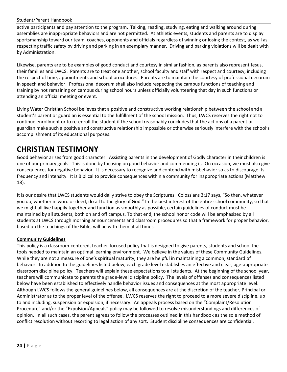active participants and pay attention to the program. Talking, reading, studying, eating and walking around during assemblies are inappropriate behaviors and are not permitted. At athletic events, students and parents are to display sportsmanship toward our team, coaches, opponents and officials regardless of winning or losing the contest, as well as respecting traffic safety by driving and parking in an exemplary manner. Driving and parking violations will be dealt with by Administration.

Likewise, parents are to be examples of good conduct and courtesy in similar fashion, as parents also represent Jesus, their families and LWCS. Parents are to treat one another, school faculty and staff with respect and courtesy, including the respect of time, appointments and school procedures. Parents are to maintain the courtesy of professional decorum in speech and behavior. Professional decorum shall also include respecting the campus functions of teaching and training by not remaining on campus during school hours unless officially volunteering that day in such functions or attending an official meeting or event.

Living Water Christian School believes that a positive and constructive working relationship between the school and a student's parent or guardian is essential to the fulfillment of the school mission. Thus, LWCS reserves the right not to continue enrollment or to re-enroll the student if the school reasonably concludes that the actions of a parent or guardian make such a positive and constructive relationship impossible or otherwise seriously interfere with the school's accomplishment of its educational purposes.

### **CHRISTIAN TESTIMONY**

Good behavior arises from good character. Assisting parents in the development of Godly character in their children is one of our primary goals. This is done by focusing on good behavior and commending it. On occasion, we must also give consequences for negative behavior. It is necessary to recognize and contend with misbehavior so as to discourage its frequency and intensity. It is Biblical to provide consequences within a community for inappropriate actions (Matthew 18).

It is our desire that LWCS students would daily strive to obey the Scriptures. Colossians 3:17 says, "So then, whatever you do, whether in word or deed, do all to the glory of God." In the best interest of the entire school community, so that we might all live happily together and function as smoothly as possible, certain guidelines of conduct must be maintained by all students, both on and off campus. To that end, the school honor code will be emphasized by all students at LWCS through morning announcements and classroom procedures so that a framework for proper behavior, based on the teachings of the Bible, will be with them at all times.

### **Community Guidelines**

This policy is a classroom-centered, teacher-focused policy that is designed to give parents, students and school the tools needed to maintain an optimal learning environment. We believe in the values of these Community Guidelines. While they are not a measure of one's spiritual maturity, they are helpful in maintaining a common, standard of behavior. In addition to the guidelines listed below, each grade level establishes an effective and clear, age-appropriate classroom discipline policy. Teachers will explain these expectations to all students. At the beginning of the school year, teachers will communicate to parents the grade-level discipline policy. The levels of offenses and consequences listed below have been established to effectively handle behavior issues and consequences at the most appropriate level. Although LWCS follows the general guidelines below, all consequences are at the discretion of the teacher, Principal or Administrator as to the proper level of the offense. LWCS reserves the right to proceed to a more severe discipline, up to and including, suspension or expulsion, if necessary. An appeals process based on the "Complaint/Resolution Procedure" and/or the "Expulsion/Appeals" policy may be followed to resolve misunderstandings and differences of opinion. In all such cases, the parent agrees to follow the processes outlined in this handbook as the sole method of conflict resolution without resorting to legal action of any sort. Student discipline consequences are confidential.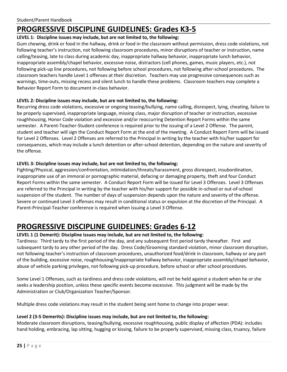### **PROGRESSIVE DISCIPLINE GUIDELINES: Grades K3-5**

### **LEVEL 1: Discipline issues may include, but are not limited to, the following:**

Gum chewing, drink or food in the hallway, drink or food in the classroom without permission, dress code violations, not following teacher's instruction, not following classroom procedures, minor disruptions of teacher or instruction, name calling/teasing, late to class during academic day, inappropriate hallway behavior, inappropriate lunch behavior, inappropriate assembly/chapel behavior, excessive noise, distractors (cell phones, games, music players, etc.), not following pick-up line procedures, not following before school procedures, not following after-school procedures. The classroom teachers handle Level 1 offenses at their discretion. Teachers may use progressive consequences such as warnings, time-outs, missing recess and silent lunch to handle these problems. Classroom teachers may complete a Behavior Report Form to document in-class behavior.

### **LEVEL 2: Discipline issues may include, but are not limited to, the following:**

Recurring dress code violations, excessive or ongoing teasing/bullying, name calling, disrespect, lying, cheating, failure to be properly supervised, inappropriate language, missing class, major disruption of teacher or instruction, excessive roughhousing, Honor Code violation and excessive and/or reoccurring Detention Report Forms within the same semester. A Parent-Teacher-Student conference is required prior to the issuing of a Level 2 Offense. The parent, student and teacher will sign the Conduct Report Form at the end of the meeting. A Conduct Report Form will be issued for Level 2 Offenses. Level 2 Offenses are referred to the Principal in writing by the teacher with his/her support for consequences, which may include a lunch detention or after-school detention, depending on the nature and severity of the offense.

### **LEVEL 3: Discipline issues may include, but are not limited to, the following:**

Fighting/Physical, aggression/confrontation, intimidation/threats/harassment, gross disrespect, insubordination, inappropriate use of an immoral or pornographic material, defacing or damaging property, theft and four Conduct Report Forms within the same semester. A Conduct Report Form will be issued for Level 3 Offenses. Level 3 Offenses are referred to the Principal in writing by the teacher with his/her support for possible in-school or out-of-school suspension of the student. The number of days of suspension depends upon the nature and severity of the offense. Severe or continued Level 3 offenses may result in conditional status or expulsion at the discretion of the Principal. A Parent-Principal-Teacher conference is required when issuing a Level 3 Offense.

### **PROGRESSIVE DISCIPLINE GUIDELINES: Grades 6-12**

### **LEVEL 1 (1 Demerit): Discipline issues may include, but are not limited to, the following:**

Tardiness: Third tardy to the first period of the day, and any subsequent first period tardy thereafter. First and subsequent tardy to any other period of the day. Dress Code/Grooming standard violation, minor classroom disruption, not following teacher's instruction of classroom procedures, unauthorized food/drink in classroom, hallway or any part of the building, excessive noise, roughhousing/inappropriate hallway behavior, inappropriate assembly/chapel behavior, abuse of vehicle parking privileges, not following pick-up procedure, before school or after school procedures.

Some Level 1 Offenses, such as tardiness and dress code violations, will not be held against a student when he or she seeks a leadership position, unless these specific events become excessive. This judgment will be made by the Administration or Club/Organization Teacher/Sponsor.

Multiple dress code violations may result in the student being sent home to change into proper wear.

### **Level 2 (3-5 Demerits): Discipline issues may include, but are not limited to, the following:**

Moderate classroom disruptions, teasing/bullying, excessive roughhousing, public display of affection (PDA): includes hand holding, embracing, lap sitting, hugging or kissing, failure to be properly supervised, missing class, truancy, failure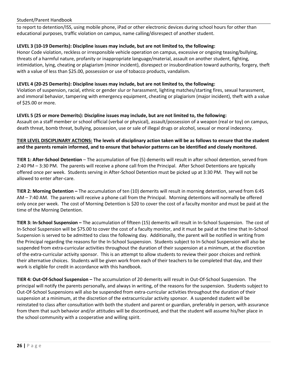to report to detention/ISS, using mobile phone, iPad or other electronic devices during school hours for other than educational purposes, traffic violation on campus, name calling/disrespect of another student.

### **LEVEL 3 (10-19 Demerits): Discipline issues may include, but are not limited to, the following:**

Honor Code violation, reckless or irresponsible vehicle operation on campus, excessive or ongoing teasing/bullying, threats of a harmful nature, profanity or inappropriate language/material, assault on another student, fighting, intimidation, lying, cheating or plagiarism (minor incident), disrespect or insubordination toward authority, forgery, theft with a value of less than \$25.00, possession or use of tobacco products, vandalism.

### **LEVEL 4 (20-25 Demerits): Discipline issues may include, but are not limited to, the following:**

Violation of suspension, racial, ethnic or gender slur or harassment, lighting matches/starting fires, sexual harassment, and immoral behavior, tampering with emergency equipment, cheating or plagiarism (major incident), theft with a value of \$25.00 or more.

### **LEVEL 5 (25 or more Demerits): Discipline issues may include, but are not limited to, the following:**

Assault on a staff member or school official (verbal or physical), assault/possession of a weapon (real or toy) on campus, death threat, bomb threat, bullying, possession, use or sale of illegal drugs or alcohol, sexual or moral indecency.

### **TIER LEVEL DISCIPLINARY ACTIONS: The levels of disciplinary action taken will be as follows to ensure that the student and the parents remain informed, and to ensure that behavior patterns can be identified and closely monitored.**

**TIER 1: After-School Detention** – The accumulation of five (5) demerits will result in after school detention, served from 2:40 PM – 3:30 PM. The parents will receive a phone call from the Principal. After School Detentions are typically offered once per week. Students serving in After-School Detention must be picked up at 3:30 PM. They will not be allowed to enter after-care.

**TIER 2: Morning Detention –** The accumulation of ten (10) demerits will result in morning detention, served from 6:45 AM – 7:40 AM. The parents will receive a phone call from the Principal. Morning detentions will normally be offered only once per week. The cost of Morning Detention is \$20 to cover the cost of a faculty monitor and must be paid at the time of the Morning Detention.

**TIER 3: In-School Suspension –** The accumulation of fifteen (15) demerits will result in In-School Suspension. The cost of In-School Suspension will be \$75.00 to cover the cost of a faculty monitor, and it must be paid at the time that In-School Suspension is served to be admitted to class the following day. Additionally, the parent will be notified in writing from the Principal regarding the reasons for the In-School Suspension. Students subject to In-School Suspension will also be suspended from extra-curricular activities throughout the duration of their suspension at a minimum, at the discretion of the extra-curricular activity sponsor. This is an attempt to allow students to review their poor choices and rethink their alternative choices. Students will be given work from each of their teachers to be completed that day, and their work is eligible for credit in accordance with this handbook.

**TIER 4: Out-Of-School Suspension –** The accumulation of 20 demerits will result in Out-Of-School Suspension. The principal will notify the parents personally, and always in writing, of the reasons for the suspension. Students subject to Out-Of-School Suspensions will also be suspended from extra-curricular activities throughout the duration of their suspension at a minimum, at the discretion of the extracurricular activity sponsor. A suspended student will be reinstated to class after consultation with both the student and parent or guardian, preferably in person, with assurance from them that such behavior and/or attitudes will be discontinued, and that the student will assume his/her place in the school community with a cooperative and willing spirit.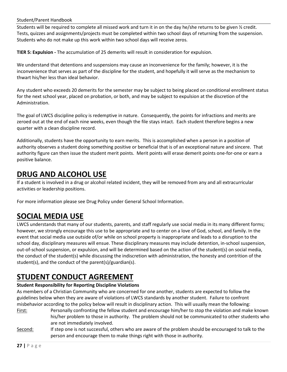Students will be required to complete all missed work and turn it in on the day he/she returns to be given ½ credit. Tests, quizzes and assignments/projects must be completed within two school days of returning from the suspension. Students who do not make up this work within two school days will receive zeros.

**TIER 5: Expulsion -** The accumulation of 25 demerits will result in consideration for expulsion.

We understand that detentions and suspensions may cause an inconvenience for the family; however, it is the inconvenience that serves as part of the discipline for the student, and hopefully it will serve as the mechanism to thwart his/her less than ideal behavior.

Any student who exceeds 20 demerits for the semester may be subject to being placed on conditional enrollment status for the next school year, placed on probation, or both, and may be subject to expulsion at the discretion of the Administration.

The goal of LWCS discipline policy is redemptive in nature. Consequently, the points for infractions and merits are zeroed out at the end of each nine weeks, even though the file stays intact. Each student therefore begins a new quarter with a clean discipline record.

Additionally, students have the opportunity to earn merits. This is accomplished when a person in a position of authority observes a student doing something positive or beneficial that is of an exceptional nature and sincere. That authority figure can then issue the student merit points. Merit points will erase demerit points one-for-one or earn a positive balance.

### **DRUG AND ALCOHOL USE**

If a student is involved in a drug or alcohol related incident, they will be removed from any and all extracurricular activities or leadership positions.

For more information please see Drug Policy under General School Information.

# **SOCIAL MEDIA USE**

LWCS understands that many of our students, parents, and staff regularly use social media in its many different forms; however, we strongly encourage this use to be appropriate and to center on a love of God, school, and family. In the event that social media use outside of/or while on school property is inappropriate and leads to a disruption to the school day, disciplinary measures will ensue. These disciplinary measures may include detention, in-school suspension, out-of-school suspension, or expulsion, and will be determined based on the action of the student(s) on social media, the conduct of the student(s) while discussing the indiscretion with administration, the honesty and contrition of the student(s), and the conduct of the parent(s)/guardian(s).

# **STUDENT CONDUCT AGREEMENT**

### **Student Responsibility for Reporting Discipline Violations**

As members of a Christian Community who are concerned for one another, students are expected to follow the guidelines below when they are aware of violations of LWCS standards by another student. Failure to confront misbehavior according to the policy below will result in disciplinary action. This will usually mean the following:

- First: Personally confronting the fellow student and encourage him/her to stop the violation and make known his/her problem to those in authority. The problem should not be communicated to other students who are not immediately involved.
- Second: If step one is not successful, others who are aware of the problem should be encouraged to talk to the person and encourage them to make things right with those in authority.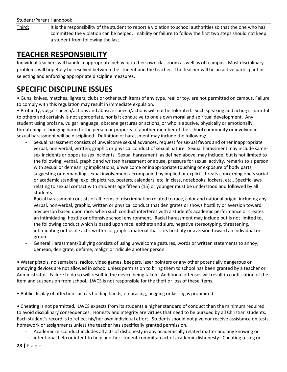Third: It is the responsibility of the student to report a violation to school authorities so that the one who has committed the violation can be helped. Inability or failure to follow the first two steps should not keep a student from following the last.

### **TEACHER RESPONSIBILITY**

Individual teachers will handle inappropriate behavior in their own classroom as well as off campus. Most disciplinary problems will hopefully be resolved between the student and the teacher. The teacher will be an active participant in selecting and enforcing appropriate discipline measures.

### **SPECIFIC DISCIPLINE ISSUES**

• Guns, knives, matches, lighters, clubs or other such items of any type, real or toy, are not permitted on campus. Failure to comply with this regulation may result in immediate expulsion.

• Profanity, vulgar speech/actions and abusive speech/actions will not be tolerated. Such speaking and acting is harmful to others and certainly is not appropriate, nor is it conducive to one's own moral and spiritual development. Any student using profane, vulgar language, obscene gestures or actions, or who is abusive, physically or emotionally, threatening or bringing harm to the person or property of another member of the school community or involved in sexual harassment will be disciplined. Definition of harassment may include the following:

- Sexual harassment consists of unwelcome sexual advances, request for sexual favors and other inappropriate verbal, non-verbal, written, graphic or physical conduct of sexual nature. Sexual harassment may include samesex incidents or opposite-sex incidents. Sexual harassment, as defined above, may include, but is not limited to the following: verbal, graphic and written harassment or abuse, pressure for sexual activity, remarks to a person with sexual or demeaning implications, unwelcome or inappropriate touching or exposure of body parts, suggesting or demanding sexual involvement accompanied by implied or explicit threats concerning one's social or academic standing, explicit pictures, posters, calendars, etc. in class, notebooks, lockers, etc.. Specific laws relating to sexual contact with students age fifteen (15) or younger must be understood and followed by all students.
- Racial harassment consists of all forms of discrimination related to race, color and national origin, including any verbal, non-verbal, graphic, written or physical conduct that denigrates or shows hostility or aversion toward any person based upon race, when such conduct interferes with a student's academic performance or creates an intimidating, hostile or offensive school environment. Racial harassment may include but is not limited to, the following conduct which is based upon race: epithets and slurs, negative stereotyping, threatening, intimidating or hostile acts, written or graphic material that stirs hostility or aversion toward an individual or group
- General Harassment/Bullying consists of using unwelcome gestures, words or written statements to annoy, demean, denigrate, defame, malign or ridicule another person.

• Water pistols, noisemakers, radios, video games, beepers, laser pointers or any other potentially dangerous or annoying devices are not allowed in school unless permission to bring them to school has been granted by a teacher or Administrator. Failure to do so will result in the device being taken. Additional offenses will result in confiscation of the item and suspension from school. LWCS is not responsible for the theft or loss of these items.

• Public display of affection such as holding hands, embracing, hugging or kissing is prohibited.

• Cheating is not permitted. LWCS expects from its students a higher standard of conduct than the minimum required to avoid disciplinary consequences. Honesty and integrity are virtues that need to be pursued by all Christian students. Each student's record is to reflect his/her own individual effort. Students should not give nor receive assistance on tests, homework or assignments unless the teacher has specifically granted permission.

- Academic misconduct includes all acts of dishonesty in any academically related matter and any knowing or
- intentional help or intent to help another student commit an act of academic dishonesty. Cheating (using or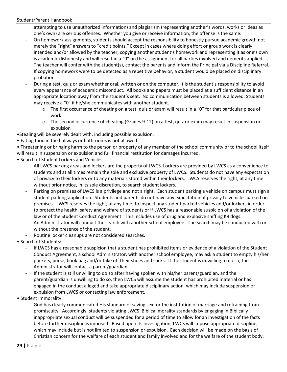- attempting to use unauthorized information) and plagiarism (representing another's words, works or ideas as one's own) are serious offenses. Whether you give or receive information, the offense is the same.
- On homework assignments, students should accept the responsibility to honestly pursue academic growth not merely the "right" answers to "credit points." Except in cases where doing effort or group work is clearly intended and/or allowed by the teacher, copying another student's homework and representing it as one's own is academic dishonesty and will result in a "0" on the assignment for all parties involved and demerits applied. The teacher will confer with the student(s), contact the parents and inform the Principal via a Discipline Referral. If copying homework were to be detected as a repetitive behavior, a student would be placed on disciplinary probation.
- During a test, quiz or exam whether oral, written or on the computer, it is the student's responsibility to avoid every appearance of academic misconduct. All books and papers must be placed at a sufficient distance in an appropriate location away from the student's seat. No communication between students is allowed. Students may receive a "0" if he/she communicates with another student.
	- $\circ$  The first occurrence of cheating on a test, quiz or exam will result in a "0" for that particular piece of work
	- $\circ$  The second occurrence of cheating (Grades 9-12) on a test, quiz or exam may result in suspension or expulsion
- •Stealing will be severely dealt with, including possible expulsion.
- Eating food in the hallways or bathrooms is not allowed.
- Threatening or bringing harm to the person or property of any member of the school community or to the school itself will result in suspension or expulsion and full financial restitution for damages incurred.
- Search of Student Lockers and Vehicles:
	- All LWCS parking areas and lockers are the property of LWCS. Lockers are provided by LWCS as a convenience to students and at all times remain the sole and exclusive property of LWCS. Students do not have any expectation of privacy to their lockers or to any materials stored within their lockers. LWCS reserves the right, at any time without prior notice, in its sole discretion, to search student lockers.
	- Parking on premises of LWCS is a privilege and not a right. Each student parking a vehicle on campus must sign a student parking application. Students and parents do not have any expectation of privacy to vehicles parked on premises. LWCS reserves the right, at any time, to inspect any student parked vehicles and/or lockers in order to protect the health, safety and welfare of students or if LWCS has a reasonable suspicion of a violation of the law or of the Student Conduct Agreement. This includes use of drug and explosive sniffing K9 dogs.
	- An Administrator will conduct the search with another school employee. The search may be conducted with or without the presence of the student.
	- Routine locker cleanups are not considered searches.
- Search of Students:
	- If LWCS has a reasonable suspicion that a student has prohibited items or evidence of a violation of the Student Conduct Agreement, a school Administrator, with another school employee, may ask a student to empty his/her pockets, purse, book bag and/or take off their shoes and socks. If the student is unwilling to do so, the Administrator will contact a parent/guardian.
	- If the student is still unwilling to do so after having spoken with his/her parent/guardian, and the parent/guardian is unwilling to do so, then LWCS will assume the student has prohibited material or has engaged in the conduct alleged and take appropriate disciplinary action, which may include suspension or expulsion from LWCS or contacting law enforcement.
- Student Immorality:
	- God has clearly communicated His standard of saving sex for the institution of marriage and refraining from promiscuity. Accordingly, students violating LWCS' Biblical morality standards by engaging in Biblically inappropriate sexual conduct will be suspended for a period of time to allow for an investigation of the facts before further discipline is imposed. Based upon its investigation, LWCS will impose appropriate discipline, which may include but is not limited to suspension or expulsion. Each decision will be made on the basis of Christian concern for the welfare of each student and family involved and for the welfare of the student body.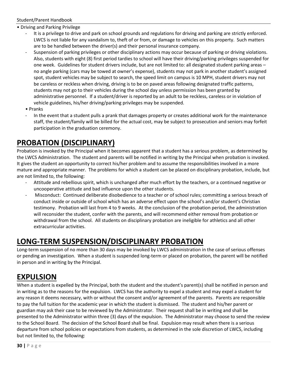- Driving and Parking Privilege
	- It is a privilege to drive and park on school grounds and regulations for driving and parking are strictly enforced. LWCS is not liable for any vandalism to, theft of or from, or damage to vehicles on this property. Such matters are to be handled between the driver(s) and their personal insurance company.
	- Suspension of parking privileges or other disciplinary actions may occur because of parking or driving violations. Also, students with eight (8) first period tardies to school will have their driving/parking privileges suspended for one week. Guidelines for student drivers include, but are not limited to: all designated student parking areas – no angle parking (cars may be towed at owner's expense), students may not park in another student's assigned spot, student vehicles may be subject to search, the speed limit on campus is 10 MPH, student drivers may not be careless or reckless when driving, driving is to be on paved areas following designated traffic patterns, students may not go to their vehicles during the school day unless permission has been granted by administrative personnel. If a student/driver is reported by an adult to be reckless, careless or in violation of vehicle guidelines, his/her driving/parking privileges may be suspended.
	- Pranks
	- In the event that a student pulls a prank that damages property or creates additional work for the maintenance staff, the student/family will be billed for the actual cost, may be subject to prosecution and seniors may forfeit participation in the graduation ceremony.

# **PROBATION (DISCIPLINARY)**

Probation is invoked by the Principal when it becomes apparent that a student has a serious problem, as determined by the LWCS Administration. The student and parents will be notified in writing by the Principal when probation is invoked. It gives the student an opportunity to correct his/her problem and to assume the responsibilities involved in a more mature and appropriate manner. The problems for which a student can be placed on disciplinary probation, include, but are not limited to, the following:

- Attitude and rebellious spirit, which is unchanged after much effort by the teachers, or a continued negative or uncooperative attitude and bad influence upon the other students.
- Misconduct: Continued deliberate disobedience to a teacher or of school rules; committing a serious breach of conduct inside or outside of school which has an adverse effect upon the school's and/or student's Christian testimony. Probation will last from 4 to 9 weeks. At the conclusion of the probation period, the administration will reconsider the student, confer with the parents, and will recommend either removal from probation or withdrawal from the school. All students on disciplinary probation are ineligible for athletics and all other extracurricular activities.

# **LONG-TERM SUSPENSION/DISCIPLINARY PROBATION**

Long-term suspension of no more than 30 days may be invoked by LWCS administration in the case of serious offenses or pending an investigation. When a student is suspended long-term or placed on probation, the parent will be notified in person and in writing by the Principal.

### **EXPULSION**

When a student is expelled by the Principal, both the student and the student's parent(s) shall be notified in person and in writing as to the reasons for the expulsion. LWCS has the authority to expel a student and may expel a student for any reason it deems necessary, with or without the consent and/or agreement of the parents. Parents are responsible to pay the full tuition for the academic year in which the student is dismissed. The student and his/her parent or guardian may ask their case to be reviewed by the Administrator. Their request shall be in writing and shall be presented to the Administrator within three (3) days of the expulsion. The Administrator may choose to send the review to the School Board. The decision of the School Board shall be final. Expulsion may result when there is a serious departure from school policies or expectations from students, as determined in the sole discretion of LWCS, including but not limited to, the following: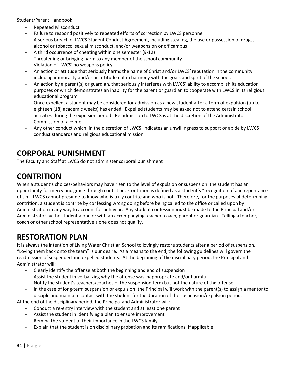- Repeated Misconduct
- Failure to respond positively to repeated efforts of correction by LWCS personnel
- A serious breach of LWCS Student Conduct Agreement, including stealing, the use or possession of drugs, alcohol or tobacco, sexual misconduct, and/or weapons on or off campus
- A third occurrence of cheating within one semester (9-12)
- Threatening or bringing harm to any member of the school community
- Violation of LWCS' no weapons policy
- An action or attitude that seriously harms the name of Christ and/or LWCS' reputation in the community including immorality and/or an attitude not in harmony with the goals and spirit of the school.
- An action by a parent(s) or guardian, that seriously interferes with LWCS' ability to accomplish its education purposes or which demonstrates an inability for the parent or guardian to cooperate with LWCS in its religious educational program
- Once expelled, a student may be considered for admission as a new student after a term of expulsion (up to eighteen (18) academic weeks) has ended. Expelled students may be asked not to attend certain school activities during the expulsion period. Re-admission to LWCS is at the discretion of the Administrator
- Commission of a crime
- Any other conduct which, in the discretion of LWCS, indicates an unwillingness to support or abide by LWCS conduct standards and religious educational mission

### **CORPORAL PUNISHMENT**

The Faculty and Staff at LWCS do not administer corporal punishment

# **CONTRITION**

When a student's choices/behaviors may have risen to the level of expulsion or suspension, the student has an opportunity for mercy and grace through contrition. Contrition is defined as a student's "recognition of and repentance of sin." LWCS cannot presume to know who is truly contrite and who is not. Therefore, for the purposes of determining contrition, a student is contrite by confessing wrong doing before being called to the office or called upon by Administration in any way to account for behavior. Any student confession **must** be made to the Principal and/or Administrator by the student alone or with an accompanying teacher, coach, parent or guardian. Telling a teacher, coach or other school representative alone does not qualify.

# **RESTORATION PLAN**

It is always the intention of Living Water Christian School to lovingly restore students after a period of suspension. "Loving them back onto the team" is our desire. As a means to the end, the following guidelines will govern the readmission of suspended and expelled students. At the beginning of the disciplinary period, the Principal and Administrator will:

- Clearly identify the offense at both the beginning and end of suspension
- Assist the student in verbalizing why the offense was inappropriate and/or harmful
- Notify the student's teachers/coaches of the suspension term but not the nature of the offense
- In the case of long-term suspension or expulsion, the Principal will work with the parent(s) to assign a mentor to disciple and maintain contact with the student for the duration of the suspension/expulsion period.

At the end of the disciplinary period, the Principal and Administrator will:

- Conduct a re-entry interview with the student and at least one parent
- Assist the student in identifying a plan to ensure improvement
- Remind the student of their importance in the LWCS family
- Explain that the student is on disciplinary probation and its ramifications, if applicable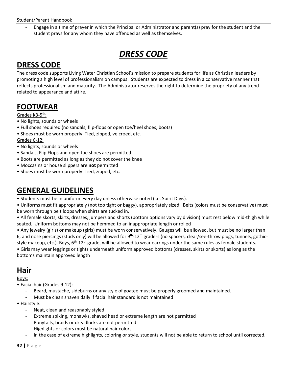- Engage in a time of prayer in which the Principal or Administrator and parent(s) pray for the student and the student prays for any whom they have offended as well as themselves.

# *DRESS CODE*

# **DRESS CODE**

The dress code supports Living Water Christian School's mission to prepare students for life as Christian leaders by promoting a high level of professionalism on campus. Students are expected to dress in a conservative manner that reflects professionalism and maturity. The Administrator reserves the right to determine the propriety of any trend related to appearance and attire.

# **FOOTWEAR**

### <u>Grades K3-5<sup>th</sup>:</u>

- No lights, sounds or wheels
- Full shoes required (no sandals, flip-flops or open toe/heel shoes, boots)
- Shoes must be worn properly: Tied, zipped, velcroed, etc.

### Grades 6-12:

- No lights, sounds or wheels
- Sandals, Flip Flops and open toe shoes are permitted
- Boots are permitted as long as they do not cover the knee
- Moccasins or house slippers are **not** permitted
- Shoes must be worn properly: Tied, zipped, etc.

# **GENERAL GUIDELINES**

• Students must be in uniform every day unless otherwise noted (i.e. Spirit Days).

• Uniforms must fit appropriately (not too tight or baggy), appropriately sized. Belts (colors must be conservative) must be worn through belt loops when shirts are tucked in.

• All female skorts, skirts, dresses, jumpers and shorts (bottom options vary by division) must rest below mid-thigh while seated. Uniform bottoms may not be hemmed to an inappropriate length or rolled

• Any jewelry (girls) or makeup (girls) must be worn conservatively. Gauges will be allowed, but must be no larger than 6, and nose piercings (studs only) will be allowed for 9<sup>th</sup>-12<sup>th</sup> graders (no spacers, clear/see-throw plugs, tunnels, gothicstyle makeup, etc.). Boys, 6<sup>th</sup>-12<sup>th</sup> grade, will be allowed to wear earrings under the same rules as female students.

• Girls may wear leggings or tights underneath uniform approved bottoms (dresses, skirts or skorts) as long as the bottoms maintain approved length

### **Hair**

Boys:

- Facial hair (Grades 9-12):
	- Beard, mustache, sideburns or any style of goatee must be properly groomed and maintained.
	- Must be clean shaven daily if facial hair standard is not maintained
- Hairstyle:
	- Neat, clean and reasonably styled
	- Extreme spiking, mohawks, shaved head or extreme length are not permitted
	- Ponytails, braids or dreadlocks are not permitted
	- Highlights or colors must be natural hair colors
	- In the case of extreme highlights, coloring or style, students will not be able to return to school until corrected.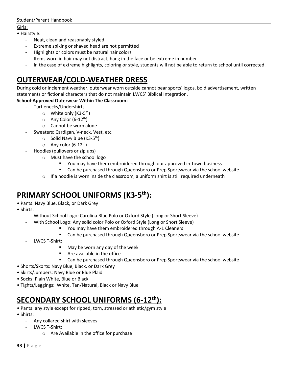### Girls:

### • Hairstyle:

- Neat, clean and reasonably styled
- Extreme spiking or shaved head are not permitted
- Highlights or colors must be natural hair colors
- Items worn in hair may not distract, hang in the face or be extreme in number
- In the case of extreme highlights, coloring or style, students will not be able to return to school until corrected.

# **OUTERWEAR/COLD-WEATHER DRESS**

During cold or inclement weather, outerwear worn outside cannot bear sports' logos, bold advertisement, written statements or fictional characters that do not maintain LWCS' Biblical Integration.

### **School-Approved Outerwear Within The Classroom:**

- Turtlenecks/Undershirts
	- o White only (K3-5<sup>th</sup>)
	- $\circ$  Any Color (6-12<sup>th</sup>)
	- o Cannot be worn alone
- Sweaters: Cardigan, V-neck, Vest, etc.
	- o Solid Navy Blue (K3-5<sup>th</sup>)
	- $\circ$  Any color (6-12<sup>th</sup>)
- Hoodies (pullovers or zip ups)
	- o Must have the school logo
		- You may have them embroidered through our approved in-town business
		- Can be purchased through Queensboro or Prep Sportswear via the school website
	- $\circ$  If a hoodie is worn inside the classroom, a uniform shirt is still required underneath

# **PRIMARY SCHOOL UNIFORMS (K3-5 th):**

- Pants: Navy Blue, Black, or Dark Grey
- Shirts:
	- Without School Logo: Carolina Blue Polo or Oxford Style (Long or Short Sleeve)
	- With School Logo: Any solid color Polo or Oxford Style (Long or Short Sleeve)
		- You may have them embroidered through A-1 Cleaners
		- Can be purchased through Queensboro or Prep Sportswear via the school website
	- LWCS T-Shirt:
		- May be worn any day of the week
		- Are available in the office
		- Can be purchased through Queensboro or Prep Sportswear via the school website
- Shorts/Skorts: Navy Blue, Black, or Dark Grey
- Skirts/Jumpers: Navy Blue or Blue Plaid
- Socks: Plain White, Blue or Black
- Tights/Leggings: White, Tan/Natural, Black or Navy Blue

# **SECONDARY SCHOOL UNIFORMS (6-12th):**

- Pants: any style except for ripped, torn, stressed or athletic/gym style
- Shirts:
	- Any collared shirt with sleeves
	- LWCS T-Shirt:
		- o Are Available in the office for purchase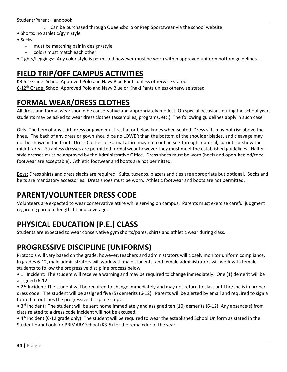- $\circ$  Can be purchased through Queensboro or Prep Sportswear via the school website
- Shorts: no athletic/gym style
- Socks:
	- must be matching pair in design/style
	- colors must match each other
- Tights/Leggings: Any color style is permitted however must be worn within approved uniform bottom guidelines

# **FIELD TRIP/OFF CAMPUS ACTIVITIES**

K3-5<sup>th</sup> Grade: School Approved Polo and Navy Blue Pants unless otherwise stated 6-12<sup>th</sup> Grade: School Approved Polo and Navy Blue or Khaki Pants unless otherwise stated

### **FORMAL WEAR/DRESS CLOTHES**

All dress and formal wear should be conservative and appropriately modest. On special occasions during the school year, students may be asked to wear dress clothes (assemblies, programs, etc.). The following guidelines apply in such case:

Girls: The hem of any skirt, dress or gown must rest at or below knees when seated. Dress slits may not rise above the knee. The back of any dress or gown should be no LOWER than the bottom of the shoulder blades, and cleavage may not be shown in the front. Dress Clothes or Formal attire may not contain see-through material, cutouts or show the midriff area. Strapless dresses are permitted formal wear however they must meet the established guidelines. Halterstyle dresses must be approved by the Administrative Office. Dress shoes must be worn (heels and open-heeled/toed footwear are acceptable). Athletic footwear and boots are not permitted.

Boys: Dress shirts and dress slacks are required. Suits, tuxedos, blazers and ties are appropriate but optional. Socks and belts are mandatory accessories. Dress shoes must be worn. Athletic footwear and boots are not permitted.

# **PARENT/VOLUNTEER DRESS CODE**

Volunteers are expected to wear conservative attire while serving on campus. Parents must exercise careful judgment regarding garment length, fit and coverage.

# **PHYSICAL EDUCATION (P.E.) CLASS**

Students are expected to wear conservative gym shorts/pants, shirts and athletic wear during class.

# **PROGRESSIVE DISCIPLINE (UNIFORMS)**

Protocols will vary based on the grade; however, teachers and administrators will closely monitor uniform compliance. In grades 6-12, male administrators will work with male students, and female administrators will work with female students to follow the progressive discipline process below

 $\bullet$  1<sup>st</sup> Incident: The student will receive a warning and may be required to change immediately. One (1) demerit will be assigned (6-12)

• 2<sup>nd</sup> Incident: The student will be required to change immediately and may not return to class until he/she is in proper dress code. The student will be assigned five (5) demerits (6-12). Parents will be alerted by email and required to sign a form that outlines the progressive discipline steps.

• 3<sup>rd</sup> Incident: The student will be sent home immediately and assigned ten (10) demerits (6-12). Any absence(s) from class related to a dress code incident will not be excused.

 $\bullet$  4<sup>th</sup> Incident (6-12 grade only): The student will be required to wear the established School Uniform as stated in the Student Handbook for PRIMARY School (K3-5) for the remainder of the year.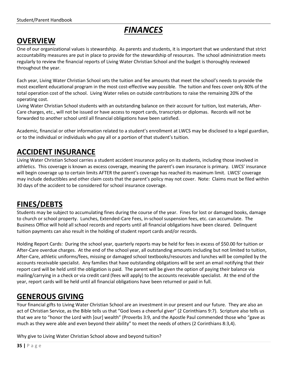# *FINANCES*

# **OVERVIEW**

One of our organizational values is stewardship. As parents and students, it is important that we understand that strict accountability measures are put in place to provide for the stewardship of resources. The school administration meets regularly to review the financial reports of Living Water Christian School and the budget is thoroughly reviewed throughout the year.

Each year, Living Water Christian School sets the tuition and fee amounts that meet the school's needs to provide the most excellent educational program in the most cost-effective way possible. The tuition and fees cover only 80% of the total operation cost of the school. Living Water relies on outside contributions to raise the remaining 20% of the operating cost.

Living Water Christian School students with an outstanding balance on their account for tuition, lost materials, After-Care charges, etc., will not be issued or have access to report cards, transcripts or diplomas. Records will not be forwarded to another school until all financial obligations have been satisfied.

Academic, financial or other information related to a student's enrollment at LWCS may be disclosed to a legal guardian, or to the individual or individuals who pay all or a portion of that student's tuition.

# **ACCIDENT INSURANCE**

Living Water Christian School carries a student accident insurance policy on its students, including those involved in athletics. This coverage is known as excess coverage, meaning the parent's own insurance is primary. LWCS' insurance will begin coverage up to certain limits AFTER the parent's coverage has reached its maximum limit. LWCS' coverage may include deductibles and other claim costs that the parent's policy may not cover. Note: Claims must be filed within 30 days of the accident to be considered for school insurance coverage.

# **FINES/DEBTS**

Students may be subject to accumulating fines during the course of the year. Fines for lost or damaged books, damage to church or school property. Lunches, Extended-Care Fees, in-school suspension fees, etc. can accumulate. The Business Office will hold all school records and reports until all financial obligations have been cleared. Delinquent tuition payments can also result in the holding of student report cards and/or records.

Holding Report Cards: During the school year, quarterly reports may be held for fees in excess of \$50.00 for tuition or After-Care overdue charges. At the end of the school year, all outstanding amounts including but not limited to tuition, After-Care, athletic uniforms/fees, missing or damaged school textbooks/resources and lunches will be compiled by the accounts receivable specialist. Any families that have outstanding obligations will be sent an email notifying that their report card will be held until the obligation is paid. The parent will be given the option of paying their balance via mailing/carrying in a check or via credit card (fees will apply) to the accounts receivable specialist. At the end of the year, report cards will be held until all financial obligations have been returned or paid in full.

# **GENEROUS GIVING**

Your financial gifts to Living Water Christian School are an investment in our present and our future. They are also an act of Christian Service, as the Bible tells us that "God loves a cheerful giver" (2 Corinthians 9:7). Scripture also tells us that we are to "honor the Lord with [our] wealth" (Proverbs 3:9, and the Apostle Paul commended those who "gave as much as they were able and even beyond their ability" to meet the needs of others (2 Corinthians 8:3,4).

Why give to Living Water Christian School above and beyond tuition?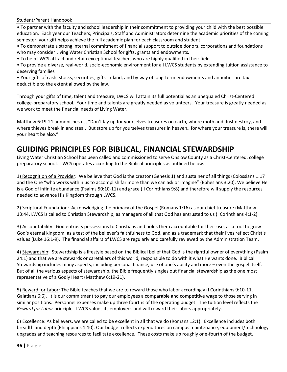• To partner with the faculty and school leadership in their commitment to providing your child with the best possible education. Each year our Teachers, Principals, Staff and Administrators determine the academic priorities of the coming semester; your gift helps achieve the full academic plan for each classroom and student

• To demonstrate a strong internal commitment of financial support to outside donors, corporations and foundations who may consider Living Water Christian School for gifts, grants and endowments.

• To help LWCS attract and retain exceptional teachers who are highly qualified in their field

• To provide a diverse, real-world, socio-economic environment for all LWCS students by extending tuition assistance to deserving families

• Your gifts of cash, stocks, securities, gifts-in-kind, and by way of long-term endowments and annuities are tax deductible to the extent allowed by the law.

Through your gifts of time, talent and treasure, LWCS will attain its full potential as an unequaled Christ-Centered college-preparatory school. Your time and talents are greatly needed as volunteers. Your treasure is greatly needed as we work to meet the financial needs of Living Water.

Matthew 6:19-21 admonishes us, "Don't lay up for yourselves treasures on earth, where moth and dust destroy, and where thieves break in and steal. But store up for yourselves treasures in heaven…for where your treasure is, there will your heart be also."

### **GUIDING PRINCIPLES FOR BIBLICAL, FINANCIAL STEWARDSHIP**

Living Water Christian School has been called and commissioned to serve Onslow County as a Christ-Centered, college preparatory school. LWCS operates according to the Biblical principles as outlined below.

1) Recognition of a Provider: We believe that God is the creator (Genesis 1) and sustainer of all things (Colossians 1:17 and the One "who works within us to accomplish far more than we can ask or imagine" (Ephesians 3:20). We believe He is a God of infinite abundance (Psalms 50:10-11) and grace (II Corinthians 9:8) and therefore will supply the resources needed to advance His Kingdom through LWCS.

2) Scriptural Foundation: Acknowledging the primacy of the Gospel (Romans 1:16) as our chief treasure (Matthew 13:44, LWCS is called to Christian Stewardship, as managers of all that God has entrusted to us (I Corinthians 4:1-2).

3) Accountability: God entrusts possessions to Christians and holds them accountable for their use, as a tool to grow God's eternal kingdom, as a test of the believer's faithfulness to God, and as a trademark that their lives reflect Christ's values (Luke 16:1-9). The financial affairs of LWCS are regularly and carefully reviewed by the Administration Team.

4) Stewardship: Stewardship is a lifestyle based on the Biblical belief that God is the rightful owner of everything (Psalm 24:1) and that we are stewards or caretakers of this world, responsible to do with it what He wants done. Biblical Stewardship includes many aspects, including personal finance, use of one's ability and more – even the gospel itself. But of all the various aspects of stewardship, the Bible frequently singles out financial stewardship as the one most representative of a Godly Heart (Matthew 6:19-21).

5) Reward for Labor: The Bible teaches that we are to reward those who labor accordingly (I Corinthians 9:10-11, Galatians 6:6). It is our commitment to pay our employees a comparable and competitive wage to those serving in similar positions. Personnel expenses make up three fourths of the operating budget. The tuition level reflects the *Reward for Labor* principle. LWCS values its employees and will reward their labors appropriately.

6) Excellence: As believers, we are called to be excellent in all that we do (Romans 12:1). Excellence includes both breadth and depth (Philippians 1:10). Our budget reflects expenditures on campus maintenance, equipment/technology upgrades and teaching resources to facilitate excellence. These costs make up roughly one-fourth of the budget.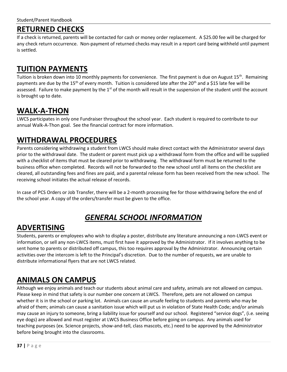### **RETURNED CHECKS**

If a check is returned, parents will be contacted for cash or money order replacement. A \$25.00 fee will be charged for any check return occurrence. Non-payment of returned checks may result in a report card being withheld until payment is settled.

# **TUITION PAYMENTS**

Tuition is broken down into 10 monthly payments for convenience. The first payment is due on August  $15<sup>th</sup>$ . Remaining payments are due by the 15<sup>th</sup> of every month. Tuition is considered late after the 20<sup>th</sup> and a \$15 late fee will be assessed. Failure to make payment by the 1<sup>st</sup> of the month will result in the suspension of the student until the account is brought up to date.

### **WALK-A-THON**

LWCS participates in only one Fundraiser throughout the school year. Each student is required to contribute to our annual Walk-A-Thon goal. See the financial contract for more information.

# **WITHDRAWAL PROCEDURES**

Parents considering withdrawing a student from LWCS should make direct contact with the Administrator several days prior to the withdrawal date. The student or parent must pick up a withdrawal form from the office and will be supplied with a checklist of items that must be cleared prior to withdrawing. The withdrawal form must be returned to the business office when completed. Records will not be forwarded to the new school until all items on the checklist are cleared, all outstanding fees and fines are paid, and a parental release form has been received from the new school. The receiving school initiates the actual release of records.

In case of PCS Orders or Job Transfer, there will be a 2-month processing fee for those withdrawing before the end of the school year. A copy of the orders/transfer must be given to the office.

# *GENERAL SCHOOL INFORMATION*

### **ADVERTISING**

Students, parents or employees who wish to display a poster, distribute any literature announcing a non-LWCS event or information, or sell any non-LWCS items, must first have it approved by the Administrator. If it involves anything to be sent home to parents or distributed off campus, this too requires approval by the Administrator. Announcing certain activities over the intercom is left to the Principal's discretion. Due to the number of requests, we are unable to distribute informational flyers that are not LWCS related.

# **ANIMALS ON CAMPUS**

Although we enjoy animals and teach our students about animal care and safety, animals are not allowed on campus. Please keep in mind that safety is our number one concern at LWCS. Therefore, pets are not allowed on campus whether it is in the school or parking lot. Animals can cause an unsafe feeling to students and parents who may be afraid of them; animals can cause a sanitation issue which will put us in violation of State Health Code; and/or animals may cause an injury to someone, bring a liability issue for yourself and our school. Registered "service dogs", (i.e. seeing eye dogs) are allowed and must register at LWCS Business Office before going on campus. Any animals used for teaching purposes (ex. Science projects, show-and-tell, class mascots, etc.) need to be approved by the Administrator before being brought into the classrooms.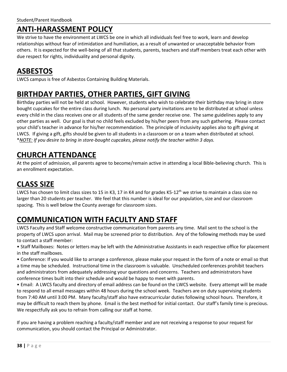### **ANTI-HARASSMENT POLICY**

We strive to have the environment at LWCS be one in which all individuals feel free to work, learn and develop relationships without fear of intimidation and humiliation, as a result of unwanted or unacceptable behavior from others. It is expected for the well-being of all that students, parents, teachers and staff members treat each other with due respect for rights, individuality and personal dignity.

# **ASBESTOS**

LWCS campus is free of Asbestos Containing Building Materials.

# **BIRTHDAY PARTIES, OTHER PARTIES, GIFT GIVING**

Birthday parties will not be held at school. However, students who wish to celebrate their birthday may bring in store bought cupcakes for the entire class during lunch. No personal party invitations are to be distributed at school unless every child in the class receives one or all students of the same gender receive one. The same guidelines apply to any other parties as well. Our goal is that no child feels excluded by his/her peers from any such gathering. Please contact your child's teacher in advance for his/her recommendation. The principle of inclusivity applies also to gift giving at LWCS. If giving a gift, gifts should be given to all students in a classroom or on a team when distributed at school. \**NOTE: If you desire to bring in store-bought cupcakes, please notify the teacher within 3 days.*

# **CHURCH ATTENDANCE**

At the point of admission, all parents agree to become/remain active in attending a local Bible-believing church. This is an enrollment expectation.

# **CLASS SIZE**

LWCS has chosen to limit class sizes to 15 in K3, 17 in K4 and for grades K5-12<sup>th</sup> we strive to maintain a class size no larger than 20 students per teacher. We feel that this number is ideal for our population, size and our classroom spacing. This is well below the County average for classroom sizes.

# **COMMUNICATION WITH FACULTY AND STAFF**

LWCS Faculty and Staff welcome constructive communication from parents any time. Mail sent to the school is the property of LWCS upon arrival. Mail may be screened prior to distribution. Any of the following methods may be used to contact a staff member:

• Staff Mailboxes: Notes or letters may be left with the Administrative Assistants in each respective office for placement in the staff mailboxes.

• Conference: If you would like to arrange a conference, please make your request in the form of a note or email so that a time may be scheduled. Instructional time in the classroom is valuable. Unscheduled conferences prohibit teachers and administrators from adequately addressing your questions and concerns. Teachers and administrators have conference times built into their schedule and would be happy to meet with parents.

• Email: A LWCS faculty and directory of email address can be found on the LWCS website. Every attempt will be made to respond to all email messages within 48 hours during the school week. Teachers are on duty supervising students from 7:40 AM until 3:00 PM. Many faculty/staff also have extracurricular duties following school hours. Therefore, it may be difficult to reach them by phone. Email is the best method for initial contact. Our staff's family time is precious. We respectfully ask you to refrain from calling our staff at home.

If you are having a problem reaching a faculty/staff member and are not receiving a response to your request for communication, you should contact the Principal or Administrator.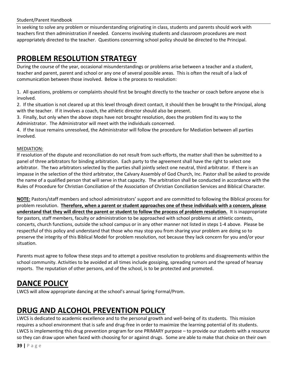In seeking to solve any problem or misunderstanding originating in class, students and parents should work with teachers first then administration if needed. Concerns involving students and classroom procedures are most appropriately directed to the teacher. Questions concerning school policy should be directed to the Principal.

# **PROBLEM RESOLUTION STRATEGY**

During the course of the year, occasional misunderstandings or problems arise between a teacher and a student, teacher and parent, parent and school or any one of several possible areas. This is often the result of a lack of communication between those involved. Below is the process to resolution:

1. All questions, problems or complaints should first be brought directly to the teacher or coach before anyone else is involved.

2. If the situation is not cleared up at this level through direct contact, it should then be brought to the Principal, along with the teacher. If it involves a coach, the athletic director should also be present.

3. Finally, but only when the above steps have not brought resolution, does the problem find its way to the Administrator. The Administrator will meet with the individuals concerned.

4. If the issue remains unresolved, the Administrator will follow the procedure for Mediation between all parties involved.

### MEDIATION:

If resolution of the dispute and reconciliation do not result from such efforts, the matter shall then be submitted to a panel of three arbitrators for binding arbitration. Each party to the agreement shall have the right to select one arbitrator. The two arbitrators selected by the parties shall jointly select one neutral, third arbitrator. If there is an impasse in the selection of the third arbitrator, the Calvary Assembly of God Church, Inc. Pastor shall be asked to provide the name of a qualified person that will serve in that capacity. The arbitration shall be conducted in accordance with the Rules of Procedure for Christian Conciliation of the Association of Christian Conciliation Services and Biblical Character.

**NOTE:** Pastors/staff members and school administrators' support and are committed to following the Biblical process for problem resolution. **Therefore, when a parent or student approaches one of these individuals with a concern, please understand that they will direct the parent or student to follow the process of problem resolution.** It is inappropriate for pastors, staff members, faculty or administration to be approached with school problems at athletic contests, concerts, church functions, outside the school campus or in any other manner not listed in steps 1-4 above. Please be respectful of this policy and understand that those who may stop you from sharing your problem are doing so to preserve the integrity of this Biblical Model for problem resolution, not because they lack concern for you and/or your situation.

Parents must agree to follow these steps and to attempt a positive resolution to problems and disagreements within the school community. Activities to be avoided at all times include gossiping, spreading rumors and the spread of hearsay reports. The reputation of other persons, and of the school, is to be protected and promoted.

### **DANCE POLICY**

LWCS will allow appropriate dancing at the school's annual Spring Formal/Prom.

# **DRUG AND ALCOHOL PREVENTION POLICY**

LWCS is dedicated to academic excellence and to the personal growth and well-being of its students. This mission requires a school environment that is safe and drug-free in order to maximize the learning potential of its students. LWCS is implementing this drug prevention program for one PRIMARY purpose – to provide our students with a resource so they can draw upon when faced with choosing for or against drugs. Some are able to make that choice on their own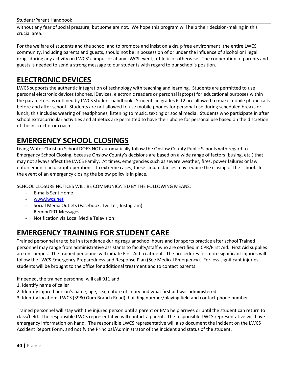without any fear of social pressure; but some are not. We hope this program will help their decision-making in this crucial area.

For the welfare of students and the school and to promote and insist on a drug-free environment, the entire LWCS community, including parents and guests, should not be in possession of or under the influence of alcohol or illegal drugs during any activity on LWCS' campus or at any LWCS event, athletic or otherwise. The cooperation of parents and guests is needed to send a strong message to our students with regard to our school's position.

# **ELECTRONIC DEVICES**

LWCS supports the authentic integration of technology with teaching and learning. Students are permitted to use personal electronic devices (phones, iDevices, electronic readers or personal laptops) for educational purposes within the parameters as outlined by LWCS student handbook. Students in grades 6-12 are allowed to make mobile phone calls before and after school. Students are not allowed to use mobile phones for personal use during scheduled breaks or lunch; this includes wearing of headphones, listening to music, texting or social media. Students who participate in after school extracurricular activities and athletics are permitted to have their phone for personal use based on the discretion of the instructor or coach.

### **EMERGENCY SCHOOL CLOSINGS**

Living Water Christian School DOES NOT automatically follow the Onslow County Public Schools with regard to Emergency School Closing, because Onslow County's decisions are based on a wide range of factors (busing, etc.) that may not always affect the LWCS Family. At times, emergencies such as severe weather, fires, power failures or law enforcement can disrupt operations. In extreme cases, these circumstances may require the closing of the school. In the event of an emergency closing the below policy is in place.

SCHOOL CLOSURE NOTICES WILL BE COMMUNICATED BY THE FOLLOWING MEANS:

- E-mails Sent Home
- [www.lwcs.net](http://www.lwcs.net/)
- Social Media Outlets (Facebook, Twitter, Instagram)
- Remind101 Messages
- Notification via Local Media Television

# **EMERGENCY TRAINING FOR STUDENT CARE**

Trained personnel are to be in attendance during regular school hours and for sports practice after school Trained personnel may range from administrative assistants to faculty/staff who are certified in CPR/First Aid. First Aid supplies are on campus. The trained personnel will initiate First Aid treatment. The procedures for more significant injuries will follow the LWCS Emergency Preparedness and Response Plan (See Medical Emergency). For less significant injuries, students will be brought to the office for additional treatment and to contact parents.

- If needed, the trained personnel will call 911 and:
- 1. Identify name of caller
- 2. Identify injured person's name, age, sex, nature of injury and what first aid was administered
- 3. Identify location: LWCS (3980 Gum Branch Road), building number/playing field and contact phone number

Trained personnel will stay with the injured person until a parent or EMS help arrives or until the student can return to class/field. The responsible LWCS representative will contact a parent. The responsible LWCS representative will have emergency information on hand. The responsible LWCS representative will also document the incident on the LWCS Accident Report Form, and notify the Principal/Administrator of the incident and status of the student.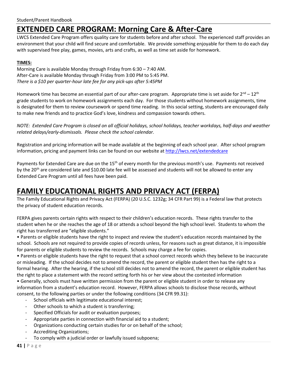### **EXTENDED CARE PROGRAM: Morning Care & After-Care**

LWCS Extended Care Program offers quality care for students before and after school. The experienced staff provides an environment that your child will find secure and comfortable. We provide something enjoyable for them to do each day with supervised free play, games, movies, arts and crafts, as well as time set aside for homework.

### **TIMES:**

Morning Care is available Monday through Friday from 6:30 – 7:40 AM. After-Care is available Monday through Friday from 3:00 PM to 5:45 PM. *There is a \$10 per quarter-hour late fee for any pick-ups after 5:45PM*

Homework time has become an essential part of our after-care program. Appropriate time is set aside for  $2^{nd} - 12^{th}$ grade students to work on homework assignments each day. For those students without homework assignments, time is designated for them to review coursework or spend time reading. In this social setting, students are encouraged daily to make new friends and to practice God's love, kindness and compassion towards others.

*NOTE: Extended Care Program is closed on all official holidays, school holidays, teacher workdays, half-days and weather related delays/early-dismissals. Please check the school calendar.*

Registration and pricing information will be made available at the beginning of each school year. After school program information, pricing and payment links can be found on our website at<http://lwcs.net/extendedcare>

Payments for Extended Care are due on the 15<sup>th</sup> of every month for the previous month's use. Payments not received by the 20<sup>th</sup> are considered late and \$10.00 late fee will be assessed and students will not be allowed to enter any Extended Care Program until all fees have been paid.

# **FAMILY EDUCATIONAL RIGHTS AND PRIVACY ACT (FERPA)**

The Family Educational Rights and Privacy Act (FERPA) (20 U.S.C. 1232g; 34 CFR Part 99) is a Federal law that protects the privacy of student education records.

FERPA gives parents certain rights with respect to their children's education records. These rights transfer to the student when he or she reaches the age of 18 or attends a school beyond the high school level. Students to whom the right has transferred are "eligible students."

• Parents or eligible students have the right to inspect and review the student's education records maintained by the school. Schools are not required to provide copies of records unless, for reasons such as great distance, it is impossible for parents or eligible students to review the records. Schools may charge a fee for copies.

• Parents or eligible students have the right to request that a school correct records which they believe to be inaccurate or misleading. If the school decides not to amend the record, the parent or eligible student then has the right to a formal hearing. After the hearing, if the school still decides not to amend the record, the parent or eligible student has the right to place a statement with the record setting forth his or her view about the contested information

• Generally, schools must have written permission from the parent or eligible student in order to release any information from a student's education record. However, FERPA allows schools to disclose those records, without consent, to the following parties or under the following conditions (34 CFR 99.31):

- School officials with legitimate educational interest;
- Other schools to which a student is transferring;
- Specified Officials for audit or evaluation purposes;
- Appropriate parties in connection with financial aid to a student;
- Organizations conducting certain studies for or on behalf of the school;
- Accrediting Organizations;
- To comply with a judicial order or lawfully issued subpoena;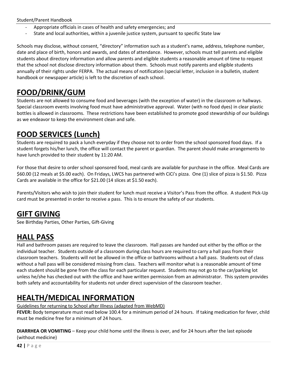- Appropriate officials in cases of health and safety emergencies; and
- State and local authorities, within a juvenile justice system, pursuant to specific State law

Schools may disclose, without consent, "directory" information such as a student's name, address, telephone number, date and place of birth, honors and awards, and dates of attendance. However, schools must tell parents and eligible students about directory information and allow parents and eligible students a reasonable amount of time to request that the school not disclose directory information about them. Schools must notify parents and eligible students annually of their rights under FERPA. The actual means of notification (special letter, inclusion in a bulletin, student handbook or newspaper article) is left to the discretion of each school.

# **FOOD/DRINK/GUM**

Students are not allowed to consume food and beverages (with the exception of water) in the classroom or hallways. Special classroom events involving food must have administrative approval. Water (with no food dyes) in clear plastic bottles is allowed in classrooms. These restrictions have been established to promote good stewardship of our buildings as we endeavor to keep the environment clean and safe.

# **FOOD SERVICES (Lunch)**

Students are required to pack a lunch everyday if they choose not to order from the school sponsored food days. If a student forgets his/her lunch, the office will contact the parent or guardian. The parent should make arrangements to have lunch provided to their student by 11:20 AM.

For those that desire to order school sponsored food, meal cards are available for purchase in the office. Meal Cards are \$60.00 (12 meals at \$5.00 each). On Fridays, LWCS has partnered with CiCi's pizza. One (1) slice of pizza is \$1.50. Pizza Cards are available in the office for \$21.00 (14 slices at \$1.50 each).

Parents/Visitors who wish to join their student for lunch must receive a Visitor's Pass from the office. A student Pick-Up card must be presented in order to receive a pass. This is to ensure the safety of our students.

# **GIFT GIVING**

See Birthday Parties, Other Parties, Gift-Giving

# **HALL PASS**

Hall and bathroom passes are required to leave the classroom. Hall passes are handed out either by the office or the individual teacher. Students outside of a classroom during class hours are required to carry a hall pass from their classroom teachers. Students will not be allowed in the office or bathrooms without a hall pass. Students out of class without a hall pass will be considered missing from class. Teachers will monitor what is a reasonable amount of time each student should be gone from the class for each particular request. Students may not go to the car/parking lot unless he/she has checked out with the office and have written permission from an administrator. This system provides both safety and accountability for students not under direct supervision of the classroom teacher.

# **HEALTH/MEDICAL INFORMATION**

Guidelines for returning to School after Illness (adapted from WebMD)

**FEVER:** Body temperature must read below 100.4 for a minimum period of 24 hours. If taking medication for fever, child must be medicine free for a minimum of 24 hours.

**DIARRHEA OR VOMITING** – Keep your child home until the illness is over, and for 24 hours after the last episode (without medicine)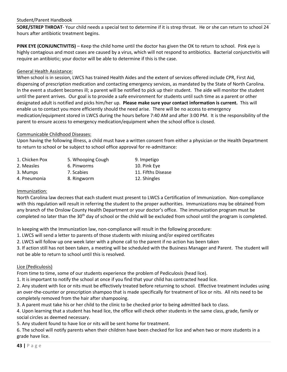**SORE/STREP THROAT**- Your child needs a special test to determine if it is strep throat. He or she can return to school 24 hours after antibiotic treatment begins.

**PINK EYE (CONJUNCTIVITIS)** – Keep the child home until the doctor has given the OK to return to school. Pink eye is highly contagious and most cases are caused by a virus, which will not respond to antibiotics. Bacterial conjunctivitis will require an antibiotic; your doctor will be able to determine if this is the case.

### General Health Assistance:

When school is in session, LWCS has trained Health Aides and the extent of services offered include CPR, First Aid, dispensing of prescription medication and contacting emergency services, as mandated by the State of North Carolina. In the event a student becomes ill; a parent will be notified to pick up their student. The aide will monitor the student until the parent arrives. Our goal is to provide a safe environment for students until such time as a parent or other designated adult is notified and picks him/her up. **Please make sure your contact information is current.** This will enable us to contact you more efficiently should the need arise. There will be no access to emergency medication/equipment stored in LWCS during the hours before 7:40 AM and after 3:00 PM. It is the responsibility of the parent to ensure access to emergency medication/equipment when the school office is closed.

### Communicable Childhood Diseases:

Upon having the following illness, a child must have a written consent from either a physician or the Health Department to return to school or be subject to school office approval for re-admittance:

| 1. Chicken Pox | 5. Whooping Cough | 9. Impetigo        |
|----------------|-------------------|--------------------|
| 2. Measles     | 6. Pinworms       | 10. Pink Eye       |
| 3. Mumps       | 7. Scabies        | 11. Fifths Disease |
| 4. Pneumonia   | 8. Ringworm       | 12. Shingles       |

### Immunization:

North Carolina law decrees that each student must present to LWCS a Certification of Immunization. Non-compliance with this regulation will result in referring the student to the proper authorities. Immunizations may be obtained from any branch of the Onslow County Health Department or your doctor's office. The immunization program must be completed no later than the  $30<sup>th</sup>$  day of school or the child will be excluded from school until the program is completed.

In keeping with the Immunization law, non-compliance will result in the following procedure:

- 1. LWCS will send a letter to parents of those students with missing and/or expired certificates
- 2. LWCS will follow up one week later with a phone call to the parent if no action has been taken
- 3. If action still has not been taken, a meeting will be scheduled with the Business Manager and Parent. The student will not be able to return to school until this is resolved.

### Lice (Pediculosis)

From time to time, some of our students experience the problem of Pediculosis (head lice).

1. It is important to notify the school at once if you find that your child has contracted head lice.

2. Any student with lice or nits must be effectively treated before returning to school. Effective treatment includes using an over-the-counter or prescription shampoo that is made specifically for treatment of lice or nits. All nits need to be completely removed from the hair after shampooing.

3. A parent must take his or her child to the clinic to be checked prior to being admitted back to class.

4. Upon learning that a student has head lice, the office will check other students in the same class, grade, family or social circles as deemed necessary.

5. Any student found to have lice or nits will be sent home for treatment.

6. The school will notify parents when their children have been checked for lice and when two or more students in a grade have lice.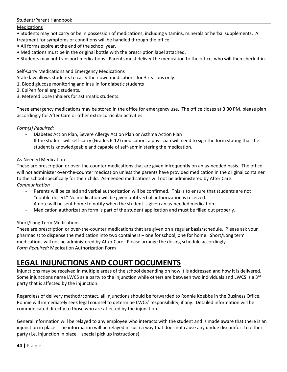### Medications

- Students may not carry or be in possession of medications, including vitamins, minerals or herbal supplements. All
- treatment for symptoms or conditions will be handled through the office.
- All forms expire at the end of the school year.
- Medications must be in the original bottle with the prescription label attached.
- Students may not transport medications. Parents must deliver the medication to the office, who will then check it in.

### Self-Carry Medications and Emergency Medications

State law allows students to carry their own medications for 3 reasons only:

- 1. Blood glucose monitoring and Insulin for diabetic students
- 2. EpiPen for allergic students.
- 3. Metered Dose Inhalers for asthmatic students.

These emergency medications may be stored in the office for emergency use. The office closes at 3:30 PM, please plan accordingly for After Care or other extra-curricular activities.

*Form(s) Required:*

- Diabetes Action Plan, Severe Allergy Action Plan or Asthma Action Plan
- If the student will self-carry (Grades 6-12) medication, a physician will need to sign the form stating that the student is knowledgeable and capable of self-administering the medication.

### As-Needed Medication

These are prescription or over-the-counter medications that are given infrequently on an as-needed basis. The office will not administer over-the-counter medication unless the parents have provided medication in the original container to the school specifically for their child. As-needed medications will not be administered by After Care. *Communication*

- Parents will be called and verbal authorization will be confirmed. This is to ensure that students are not "double-dosed." No medication will be given until verbal authorization is received.
- A note will be sent home to notify when the student is given an as-needed medication.
- Medication authorization form is part of the student application and must be filled out properly.

### Short/Long Term Medications

These are prescription or over-the-counter medications that are given on a regular basis/schedule. Please ask your pharmacist to dispense the medication into two containers – one for school, one for home. Short/Long term medications will not be administered by After Care. Please arrange the dosing schedule accordingly. *Form Required:* Medication Authorization Form

### **LEGAL INJUNCTIONS AND COURT DOCUMENTS**

Injunctions may be received in multiple areas of the school depending on how it is addressed and how it is delivered. Some injunctions name LWCS as a party to the injunction while others are between two individuals and LWCS is a  $3<sup>rd</sup>$ party that is affected by the injunction.

Regardless of delivery method/contact, all injunctions should be forwarded to Ronnie Koebbe in the Business Office. Ronnie will immediately seek legal counsel to determine LWCS' responsibility, if any. Detailed information will be communicated directly to those who are affected by the injunction.

General information will be relayed to any employee who interacts with the student and is made aware that there is an injunction in place. The information will be relayed in such a way that does not cause any undue discomfort to either party (i.e. injunction in place – special pick up instructions).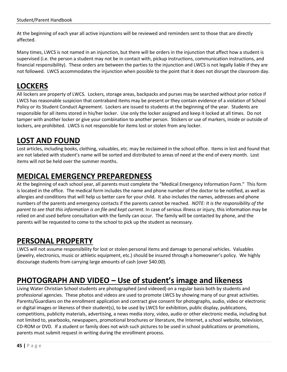At the beginning of each year all active injunctions will be reviewed and reminders sent to those that are directly affected.

Many times, LWCS is not named in an injunction, but there will be orders in the injunction that affect how a student is supervised (i.e. the person a student may not be in contact with, pickup instructions, communication instructions, and financial responsibility). These orders are between the parties to the injunction and LWCS is not legally liable if they are not followed. LWCS accommodates the injunction when possible to the point that it does not disrupt the classroom day.

# **LOCKERS**

All lockers are property of LWCS. Lockers, storage areas, backpacks and purses may be searched without prior notice if LWCS has reasonable suspicion that contraband items may be present or they contain evidence of a violation of School Policy or its Student Conduct Agreement. Lockers are issued to students at the beginning of the year. Students are responsible for all items stored in his/her locker. Use only the locker assigned and keep it locked at all times. Do not tamper with another locker or give your combination to another person. Stickers or use of markers, inside or outside of lockers, are prohibited. LWCS is not responsible for items lost or stolen from any locker.

# **LOST AND FOUND**

Lost articles, including books, clothing, valuables, etc. may be reclaimed in the school office. Items in lost and found that are not labeled with student's name will be sorted and distributed to areas of need at the end of every month. Lost items will not be held over the summer months.

# **MEDICAL EMERGENCY PREPAREDNESS**

At the beginning of each school year, all parents must complete the "Medical Emergency Information Form." This form is located in the office. The medical form includes the name and phone number of the doctor to be notified, as well as allergies and conditions that will help us better care for your child. It also includes the names, addresses and phone numbers of the parents and emergency contacts if the parents cannot be reached. *NOTE: It is the responsibility of the parent to see that this information is on file and kept current.* In case of serious illness or injury, this information may be relied on and used before consultation with the family can occur. The family will be contacted by phone, and the parents will be requested to come to the school to pick up the student as necessary.

# **PERSONAL PROPERTY**

LWCS will not assume responsibility for lost or stolen personal items and damage to personal vehicles. Valuables (jewelry, electronics, music or athletic equipment, etc.) should be insured through a homeowner's policy. We highly discourage students from carrying large amounts of cash (over \$40.00).

# **PHOTOGRAPH AND VIDEO – Use of student's image and likeness**

Living Water Christian School students are photographed (and videoed) on a regular basis both by students and professional agencies. These photos and videos are used to promote LWCS by showing many of our great activities. Parents/Guardians on the enrollment application and contract give consent for photographs, audio, video or electronic or digital images or likeness of their student(s), to be used by LWCS for exhibition, public display, publications, competitions, publicity materials, advertising, a news media story, video, audio or other electronic media, including but not limited to, yearbooks, newspapers, promotional brochures or literature, the Internet, a school website, television, CD-ROM or DVD. If a student or family does not wish such pictures to be used in school publications or promotions, parents must submit request in writing during the enrollment process.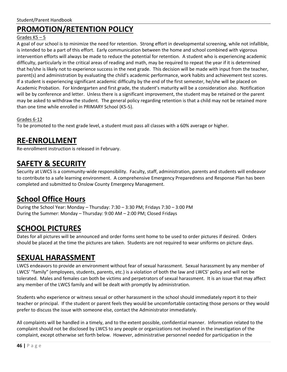# **PROMOTION/RETENTION POLICY**

### Grades K5 – 5

A goal of our school is to minimize the need for retention. Strong effort in developmental screening, while not infallible, is intended to be a part of this effort. Early communication between the home and school combined with vigorous intervention efforts will always be made to reduce the potential for retention. A student who is experiencing academic difficulty, particularly in the critical areas of reading and math, may be required to repeat the year if it is determined that he/she is likely not to experience success in the next grade. This decision will be made with input from the teacher, parent(s) and administration by evaluating the child's academic performance, work habits and achievement test scores. If a student is experiencing significant academic difficulty by the end of the first semester, he/she will be placed on Academic Probation. For kindergarten and first grade, the student's maturity will be a consideration also. Notification will be by conference and letter. Unless there is a significant improvement, the student may be retained or the parent may be asked to withdraw the student. The general policy regarding retention is that a child may not be retained more than one time while enrolled in PRIMARY School (K5-5).

Grades 6-12

To be promoted to the next grade level, a student must pass all classes with a 60% average or higher.

### **RE-ENROLLMENT**

Re-enrollment instruction is released in February.

# **SAFETY & SECURITY**

Security at LWCS is a community-wide responsibility. Faculty, staff, administration, parents and students will endeavor to contribute to a safe learning environment. A comprehensive Emergency Preparedness and Response Plan has been completed and submitted to Onslow County Emergency Management.

# **School Office Hours**

During the School Year: Monday – Thursday: 7:30 – 3:30 PM; Fridays 7:30 – 3:00 PM During the Summer: Monday – Thursday: 9:00 AM – 2:00 PM; Closed Fridays

# **SCHOOL PICTURES**

Dates for all pictures will be announced and order forms sent home to be used to order pictures if desired. Orders should be placed at the time the pictures are taken. Students are not required to wear uniforms on picture days.

# **SEXUAL HARASSMENT**

LWCS endeavors to provide an environment without fear of sexual harassment. Sexual harassment by any member of LWCS' "family" (employees, students, parents, etc.) is a violation of both the law and LWCS' policy and will not be tolerated. Males and females can both be victims and perpetrators of sexual harassment. It is an issue that may affect any member of the LWCS family and will be dealt with promptly by administration.

Students who experience or witness sexual or other harassment in the school should immediately report it to their teacher or principal. If the student or parent feels they would be uncomfortable contacting those persons or they would prefer to discuss the issue with someone else, contact the Administrator immediately.

All complaints will be handled in a timely, and to the extent possible, confidential manner. Information related to the complaint should not be disclosed by LWCS to any people or organizations not involved in the investigation of the complaint, except otherwise set forth below. However, administrative personnel needed for participation in the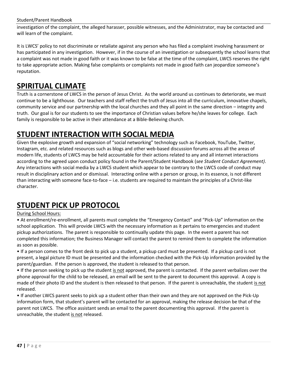investigation of the complaint, the alleged harasser, possible witnesses, and the Administrator, may be contacted and will learn of the complaint.

It is LWCS' policy to not discriminate or retaliate against any person who has filed a complaint involving harassment or has participated in any investigation. However, if in the course of an investigation or subsequently the school learns that a complaint was not made in good faith or it was known to be false at the time of the complaint, LWCS reserves the right to take appropriate action. Making false complaints or complaints not made in good faith can jeopardize someone's reputation.

### **SPIRITUAL CLIMATE**

Truth is a cornerstone of LWCS in the person of Jesus Christ. As the world around us continues to deteriorate, we must continue to be a lighthouse. Our teachers and staff reflect the truth of Jesus into all the curriculum, innovative chapels, community service and our partnership with the local churches and they all point in the same direction – integrity and truth. Our goal is for our students to see the importance of Christian values before he/she leaves for college. Each family is responsible to be active in their attendance at a Bible-Believing church.

# **STUDENT INTERACTION WITH SOCIAL MEDIA**

Given the explosive growth and expansion of "social networking" technology such as Facebook, YouTube, Twitter, Instagram, etc. and related resources such as blogs and other web-based discussion forums across all the areas of modern life, students of LWCS may be held accountable for their actions related to any and all internet interactions according to the agreed upon conduct policy found in the Parent/Student Handbook (*see Student Conduct Agreement)*. Any interactions with social media by a LWCS student which appear to be contrary to the LWCS code of conduct may result in disciplinary action and or dismissal. Interacting online with a person or group, in its essence, is not different than interacting with someone face-to-face – i.e. students are required to maintain the principles of a Christ-like character.

# **STUDENT PICK UP PROTOCOL**

### During School Hours:

• At enrollment/re-enrollment, all parents must complete the "Emergency Contact" and "Pick-Up" information on the school application. This will provide LWCS with the necessary information as it pertains to emergencies and student pickup authorizations. The parent is responsible to continually update this page. In the event a parent has not completed this information; the Business Manager will contact the parent to remind them to complete the information as soon as possible.

• If a person comes to the front desk to pick up a student, a pickup card must be presented. If a pickup card is not present, a legal picture ID must be presented and the information checked with the Pick-Up information provided by the parent/guardian. If the person is approved, the student is released to that person.

• If the person seeking to pick up the student is not approved, the parent is contacted. If the parent verbalizes over the phone approval for the child to be released, an email will be sent to the parent to document this approval. A copy is made of their photo ID and the student is then released to that person. If the parent is unreachable, the student is not released.

• If another LWCS parent seeks to pick up a student other than their own and they are not approved on the Pick-Up information form, that student's parent will be contacted for an approval, making the release decision be that of the parent not LWCS. The office assistant sends an email to the parent documenting this approval. If the parent is unreachable, the student is not released.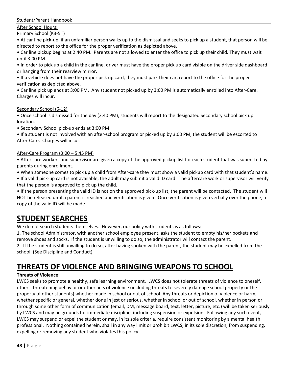### After School Hours:

Primary School (K3-5<sup>th</sup>)

• At car line pick-up, if an unfamiliar person walks up to the dismissal and seeks to pick up a student, that person will be directed to report to the office for the proper verification as depicted above.

• Car line pickup begins at 2:40 PM. Parents are not allowed to enter the office to pick up their child. They must wait until 3:00 PM.

• In order to pick up a child in the car line, driver must have the proper pick up card visible on the driver side dashboard or hanging from their rearview mirror.

• If a vehicle does not have the proper pick up card, they must park their car, report to the office for the proper verification as depicted above.

• Car line pick up ends at 3:00 PM. Any student not picked up by 3:00 PM is automatically enrolled into After-Care. Charges will incur.

### Secondary School (6-12)

• Once school is dismissed for the day (2:40 PM), students will report to the designated Secondary school pick up location.

• Secondary School pick-up ends at 3:00 PM

• If a student is not involved with an after-school program or picked up by 3:00 PM, the student will be escorted to After-Care. Charges will incur.

### After-Care Program (3:00 – 5:45 PM)

• After care workers and supervisor are given a copy of the approved pickup list for each student that was submitted by parents during enrollment.

• When someone comes to pick up a child from After-care they must show a valid pickup card with that student's name.

• If a valid pick-up card is not available, the adult may submit a valid ID card. The aftercare work or supervisor will verify that the person is approved to pick up the child.

• If the person presenting the valid ID is not on the approved pick-up list, the parent will be contacted. The student will NOT be released until a parent is reached and verification is given. Once verification is given verbally over the phone, a copy of the valid ID will be made.

### **STUDENT SEARCHES**

We do not search students themselves. However, our policy with students is as follows:

1. The school Administrator, with another school employee present, asks the student to empty his/her pockets and remove shoes and socks. If the student is unwilling to do so, the administrator will contact the parent.

2. If the student is still unwilling to do so, after having spoken with the parent, the student may be expelled from the school. (See Discipline and Conduct)

# **THREATS OF VIOLENCE AND BRINGING WEAPONS TO SCHOOL**

### **Threats of Violence:**

LWCS seeks to promote a healthy, safe learning environment. LWCS does not tolerate threats of violence to oneself, others, threatening behavior or other acts of violence (including threats to severely damage school property or the property of other students) whether made in school or out of school. Any threats or depiction of violence or harm, whether specific or general, whether done in jest or serious, whether in school or out of school, whether in person or through some other form of communication (email, DM, message board, text, letter, picture, etc.) will be taken seriously by LWCS and may be grounds for immediate discipline, including suspension or expulsion. Following any such event, LWCS may suspend or expel the student or may, in its sole criteria, require consistent monitoring by a mental health professional. Nothing contained herein, shall in any way limit or prohibit LWCS, in its sole discretion, from suspending, expelling or removing any student who violates this policy.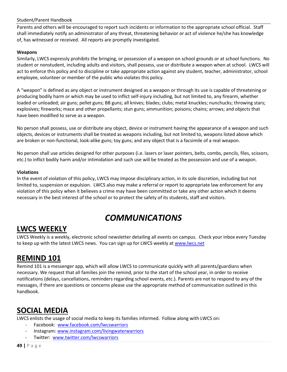Parents and others will be encouraged to report such incidents or information to the appropriate school official. Staff shall immediately notify an administrator of any threat, threatening behavior or act of violence he/she has knowledge of, has witnessed or received. All reports are promptly investigated.

### **Weapons**

Similarly, LWCS expressly prohibits the bringing, or possession of a weapon on school grounds or at school functions. No student or nonstudent, including adults and visitors, shall possess, use or distribute a weapon when at school. LWCS will act to enforce this policy and to discipline or take appropriate action against any student, teacher, administrator, school employee, volunteer or member of the public who violates this policy.

A "weapon" is defined as any object or instrument designed as a weapon or through its use is capable of threatening or producing bodily harm or which may be used to inflict self-injury including, but not limited to, any firearm, whether loaded or unloaded; air guns; pellet guns; BB guns; all knives; blades; clubs; metal knuckles; nunchucks; throwing stars; explosives; fireworks; mace and other propellants; stun guns; ammunition; poisons; chains; arrows; and objects that have been modified to serve as a weapon.

No person shall possess, use or distribute any object, device or instrument having the appearance of a weapon and such objects, devices or instruments shall be treated as weapons including, but not limited to, weapons listed above which are broken or non-functional, look-alike guns; toy guns; and any object that is a facsimile of a real weapon.

No person shall use articles designed for other purposes (i.e. lasers or laser pointers, belts, combs, pencils, files, scissors, etc.) to inflict bodily harm and/or intimidation and such use will be treated as the possession and use of a weapon.

### **Violations**

In the event of violation of this policy, LWCS may impose disciplinary action, in its sole discretion, including but not limited to, suspension or expulsion. LWCS also may make a referral or report to appropriate law enforcement for any violation of this policy when it believes a crime may have been committed or take any other action which it deems necessary in the best interest of the school or to protect the safety of its students, staff and visitors.

# *COMMUNICATIONS*

### **LWCS WEEKLY**

LWCS Weekly is a weekly, electronic school newsletter detailing all events on campus. Check your inbox every Tuesday to keep up with the latest LWCS news. You can sign up for LWCS weekly at [www.lwcs.net](http://www.lwcs.net/)

### **REMIND 101**

Remind 101 is a messenger app, which will allow LWCS to communicate quickly with all parents/guardians when necessary. We request that all families join the remind, prior to the start of the school year, in order to receive notifications (delays, cancellations, reminders regarding school events, etc.). Parents are not to respond to any of the messages, if there are questions or concerns please use the appropriate method of communication outlined in this handbook.

### **SOCIAL MEDIA**

LWCS enlists the usage of social media to keep its families informed. Follow along with LWCS on:

- Facebook: [www.facebook.com/lwcswarriors](http://www.facebook.com/lwcswarriors)
- Instagram: www.instagram.com/livingwaterwarriors
- Twitter: [www.twitter.com/lwcswarriors](http://www.twitter.com/lwcswarriors)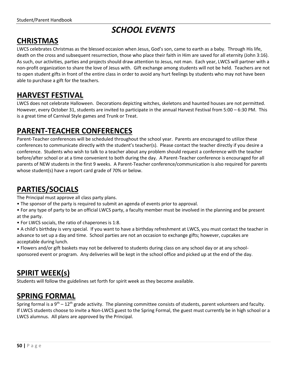# *SCHOOL EVENTS*

# **CHRISTMAS**

LWCS celebrates Christmas as the blessed occasion when Jesus, God's son, came to earth as a baby. Through His life, death on the cross and subsequent resurrection, those who place their faith in Him are saved for all eternity (John 3:16). As such, our activities, parties and projects should draw attention to Jesus, not man. Each year, LWCS will partner with a non-profit organization to share the love of Jesus with. Gift exchange among students will not be held. Teachers are not to open student gifts in front of the entire class in order to avoid any hurt feelings by students who may not have been able to purchase a gift for the teachers.

# **HARVEST FESTIVAL**

LWCS does not celebrate Halloween. Decorations depicting witches, skeletons and haunted houses are not permitted. However, every October 31, students are invited to participate in the annual Harvest Festival from 5:00 – 6:30 PM. This is a great time of Carnival Style games and Trunk or Treat.

# **PARENT-TEACHER CONFERENCES**

Parent-Teacher conferences will be scheduled throughout the school year. Parents are encouraged to utilize these conferences to communicate directly with the student's teacher(s). Please contact the teacher directly if you desire a conference. Students who wish to talk to a teacher about any problem should request a conference with the teacher before/after school or at a time convenient to both during the day. A Parent-Teacher conference is encouraged for all parents of NEW students in the first 9 weeks. A Parent-Teacher conference/communication is also required for parents whose student(s) have a report card grade of 70% or below.

# **PARTIES/SOCIALS**

The Principal must approve all class party plans.

- The sponsor of the party is required to submit an agenda of events prior to approval.
- For any type of party to be an official LWCS party, a faculty member must be involved in the planning and be present at the party.
- For LWCS socials, the ratio of chaperones is 1:8.
- A child's birthday is very special. If you want to have a birthday refreshment at LWCS, you must contact the teacher in advance to set up a day and time. School parties are not an occasion to exchange gifts; however, cupcakes are acceptable during lunch.

• Flowers and/or gift baskets may not be delivered to students during class on any school day or at any schoolsponsored event or program. Any deliveries will be kept in the school office and picked up at the end of the day.

# **SPIRIT WEEK(s)**

Students will follow the guidelines set forth for spirit week as they become available.

### **SPRING FORMAL**

Spring formal is a  $9<sup>th</sup> - 12<sup>th</sup>$  grade activity. The planning committee consists of students, parent volunteers and faculty. If LWCS students choose to invite a Non-LWCS guest to the Spring Formal, the guest must currently be in high school or a LWCS alumnus. All plans are approved by the Principal.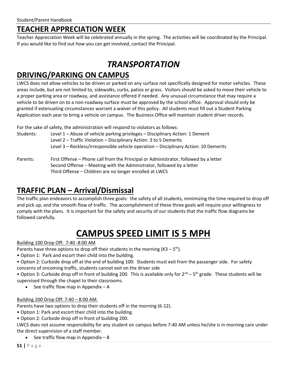### **TEACHER APPRECIATION WEEK**

Teacher Appreciation Week will be celebrated annually in the spring. The activities will be coordinated by the Principal. If you would like to find out how you can get involved, contact the Principal.

# *TRANSPORTATION*

### **DRIVING/PARKING ON CAMPUS**

LWCS does not allow vehicles to be driven or parked on any surface not specifically designed for motor vehicles. These areas include, but are not limited to, sidewalks, curbs, patios or grass. Visitors should be asked to move their vehicle to a proper parking area or roadway, and assistance offered if needed. Any unusual circumstance that may require a vehicle to be driven on to a non-roadway surface must be approved by the school office. Approval should only be granted if extenuating circumstances warrant a waiver of this policy. All students must fill out a Student Parking Application each year to bring a vehicle on campus. The Business Office will maintain student driver records.

For the sake of safety, the administration will respond to violators as follows:

Students: Level 1 – Abuse of vehicle parking privileges – Disciplinary Action: 1 Demerit Level 2 – Traffic Violation – Disciplinary Action: 3 to 5 Demerits Level 3 – Reckless/irresponsible vehicle operation – Disciplinary Action: 10 Demerits Parents: First Offense – Phone call from the Principal or Administrator, followed by a letter Second Offense – Meeting with the Administrator, followed by a letter

Third Offense – Children are no longer enrolled at LWCS

# **TRAFFIC PLAN – Arrival/Dismissal**

The traffic plan endeavors to accomplish three goals: the safety of all students, minimizing the time required to drop off and pick up, and the smooth flow of traffic. The accomplishment of these three goals will require your willingness to comply with the plans. It is important for the safety and security of our students that the traffic flow diagrams be followed carefully.

# **CAMPUS SPEED LIMIT IS 5 MPH**

### Building 100 Drop Off: 7:40 -8:00 AM

Parents have three options to drop off their students in the morning (K3  $-5<sup>th</sup>$ ).

- Option 1: Park and escort their child into the building.
- Option 2: Curbside drop off at the end of building 100: Students must exit from the passenger side. For safety concerns of oncoming traffic, students cannot exit on the driver side
- Option 3: Curbside drop off in front of building 200. This is available only for 2<sup>nd</sup> 5<sup>th</sup> grade. These students will be supervised through the chapel to their classrooms.
	- See traffic flow map in Appendix A

### Building 200 Drop Off: 7:40 – 8:00 AM.

Parents have two options to drop their students off in the morning (6-12).

- Option 1: Park and escort their child into the building.
- Option 2: Curbside drop off in front of building 200.
- LWCS does not assume responsibility for any student on campus before 7:40 AM unless he/she is in morning care under the direct supervision of a staff member.
	- See traffic flow map in Appendix B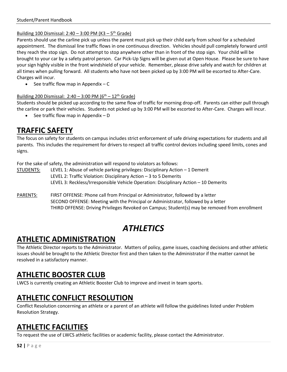### Building 100 Dismissal: 2:40 - 3:00 PM (K3 - 5<sup>th</sup> Grade)

Parents should use the carline pick up unless the parent must pick up their child early from school for a scheduled appointment. The dismissal line traffic flows in one continuous direction. Vehicles should pull completely forward until they reach the stop sign. Do not attempt to stop anywhere other than in front of the stop sign. Your child will be brought to your car by a safety patrol person. Car Pick-Up Signs will be given out at Open House. Please be sure to have your sign highly visible in the front windshield of your vehicle. Remember, please drive safely and watch for children at all times when pulling forward. All students who have not been picked up by 3:00 PM will be escorted to After-Care. Charges will incur.

• See traffic flow map in Appendix  $- C$ 

### Building 200 Dismissal:  $2:40 - 3:00$  PM ( $6<sup>th</sup> - 12<sup>th</sup>$  Grade)

Students should be picked up according to the same flow of traffic for morning drop-off. Parents can either pull through the carline or park their vehicles. Students not picked up by 3:00 PM will be escorted to After-Care. Charges will incur.

• See traffic flow map in Appendix – D

### **TRAFFIC SAFETY**

The focus on safety for students on campus includes strict enforcement of safe driving expectations for students and all parents. This includes the requirement for drivers to respect all traffic control devices including speed limits, cones and signs.

For the sake of safety, the administration will respond to violators as follows:

STUDENTS: LEVEL 1: Abuse of vehicle parking privileges: Disciplinary Action – 1 Demerit LEVEL 2: Traffic Violation: Disciplinary Action – 3 to 5 Demerits LEVEL 3: Reckless/Irresponsible Vehicle Operation: Disciplinary Action – 10 Demerits

PARENTS: FIRST OFFENSE: Phone call from Principal or Administrator, followed by a letter SECOND OFFENSE: Meeting with the Principal or Administrator, followed by a letter THIRD OFFENSE: Driving Privileges Revoked on Campus; Student(s) may be removed from enrollment

# *ATHLETICS*

### **ATHLETIC ADMINISTRATION**

The Athletic Director reports to the Administrator. Matters of policy, game issues, coaching decisions and other athletic issues should be brought to the Athletic Director first and then taken to the Administrator if the matter cannot be resolved in a satisfactory manner.

# **ATHLETIC BOOSTER CLUB**

LWCS is currently creating an Athletic Booster Club to improve and invest in team sports.

# **ATHLETIC CONFLICT RESOLUTION**

Conflict Resolution concerning an athlete or a parent of an athlete will follow the guidelines listed under Problem Resolution Strategy.

# **ATHLETIC FACILITIES**

To request the use of LWCS athletic facilities or academic facility, please contact the Administrator.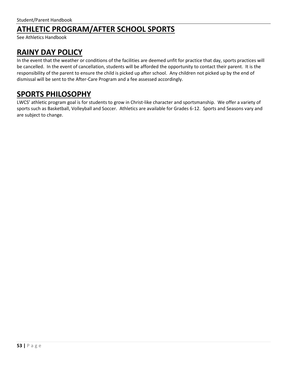### **ATHLETIC PROGRAM/AFTER SCHOOL SPORTS**

See Athletics Handbook

### **RAINY DAY POLICY**

In the event that the weather or conditions of the facilities are deemed unfit for practice that day, sports practices will be cancelled. In the event of cancellation, students will be afforded the opportunity to contact their parent. It is the responsibility of the parent to ensure the child is picked up after school. Any children not picked up by the end of dismissal will be sent to the After-Care Program and a fee assessed accordingly.

### **SPORTS PHILOSOPHY**

LWCS' athletic program goal is for students to grow in Christ-like character and sportsmanship. We offer a variety of sports such as Basketball, Volleyball and Soccer. Athletics are available for Grades 6-12. Sports and Seasons vary and are subject to change.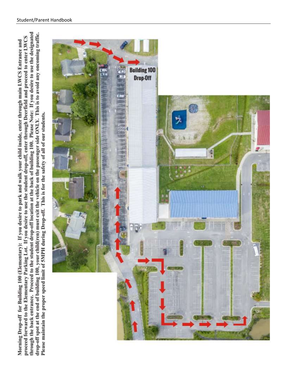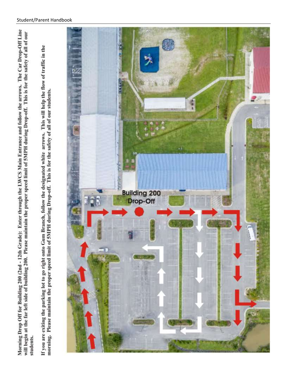Morning Drop Off for Building 200 (2nd - 12th Grade): Enter through the LWCS Main Entrance and follow the arrows. The Car Drop-Off Line<br>will begin at the far left side of building 200. Please maintain the proper speed limi

morning. Please maintain the proper speed limit of SMPH during Drop-off. This is for the safety of all of our students.

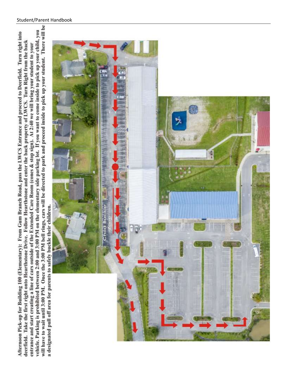